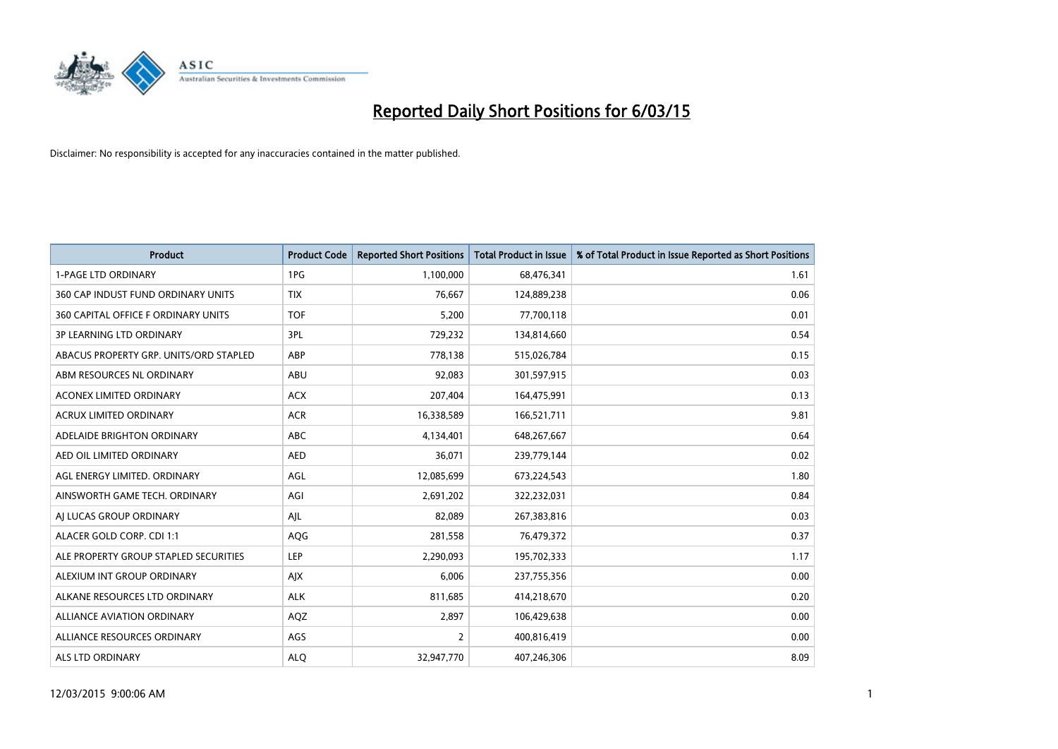

| <b>Product</b>                         | <b>Product Code</b> | <b>Reported Short Positions</b> | <b>Total Product in Issue</b> | % of Total Product in Issue Reported as Short Positions |
|----------------------------------------|---------------------|---------------------------------|-------------------------------|---------------------------------------------------------|
| <b>1-PAGE LTD ORDINARY</b>             | 1PG                 | 1,100,000                       | 68,476,341                    | 1.61                                                    |
| 360 CAP INDUST FUND ORDINARY UNITS     | <b>TIX</b>          | 76,667                          | 124,889,238                   | 0.06                                                    |
| 360 CAPITAL OFFICE F ORDINARY UNITS    | <b>TOF</b>          | 5,200                           | 77,700,118                    | 0.01                                                    |
| <b>3P LEARNING LTD ORDINARY</b>        | 3PL                 | 729,232                         | 134,814,660                   | 0.54                                                    |
| ABACUS PROPERTY GRP. UNITS/ORD STAPLED | ABP                 | 778,138                         | 515,026,784                   | 0.15                                                    |
| ABM RESOURCES NL ORDINARY              | ABU                 | 92,083                          | 301,597,915                   | 0.03                                                    |
| <b>ACONEX LIMITED ORDINARY</b>         | <b>ACX</b>          | 207,404                         | 164,475,991                   | 0.13                                                    |
| ACRUX LIMITED ORDINARY                 | <b>ACR</b>          | 16,338,589                      | 166,521,711                   | 9.81                                                    |
| ADELAIDE BRIGHTON ORDINARY             | <b>ABC</b>          | 4,134,401                       | 648,267,667                   | 0.64                                                    |
| AED OIL LIMITED ORDINARY               | <b>AED</b>          | 36,071                          | 239,779,144                   | 0.02                                                    |
| AGL ENERGY LIMITED. ORDINARY           | AGL                 | 12,085,699                      | 673,224,543                   | 1.80                                                    |
| AINSWORTH GAME TECH. ORDINARY          | AGI                 | 2,691,202                       | 322,232,031                   | 0.84                                                    |
| AI LUCAS GROUP ORDINARY                | AJL                 | 82,089                          | 267,383,816                   | 0.03                                                    |
| ALACER GOLD CORP. CDI 1:1              | AQG                 | 281,558                         | 76,479,372                    | 0.37                                                    |
| ALE PROPERTY GROUP STAPLED SECURITIES  | <b>LEP</b>          | 2,290,093                       | 195,702,333                   | 1.17                                                    |
| ALEXIUM INT GROUP ORDINARY             | AJX                 | 6,006                           | 237,755,356                   | 0.00                                                    |
| ALKANE RESOURCES LTD ORDINARY          | <b>ALK</b>          | 811,685                         | 414,218,670                   | 0.20                                                    |
| ALLIANCE AVIATION ORDINARY             | AQZ                 | 2,897                           | 106,429,638                   | 0.00                                                    |
| ALLIANCE RESOURCES ORDINARY            | AGS                 | 2                               | 400,816,419                   | 0.00                                                    |
| ALS LTD ORDINARY                       | <b>ALQ</b>          | 32,947,770                      | 407,246,306                   | 8.09                                                    |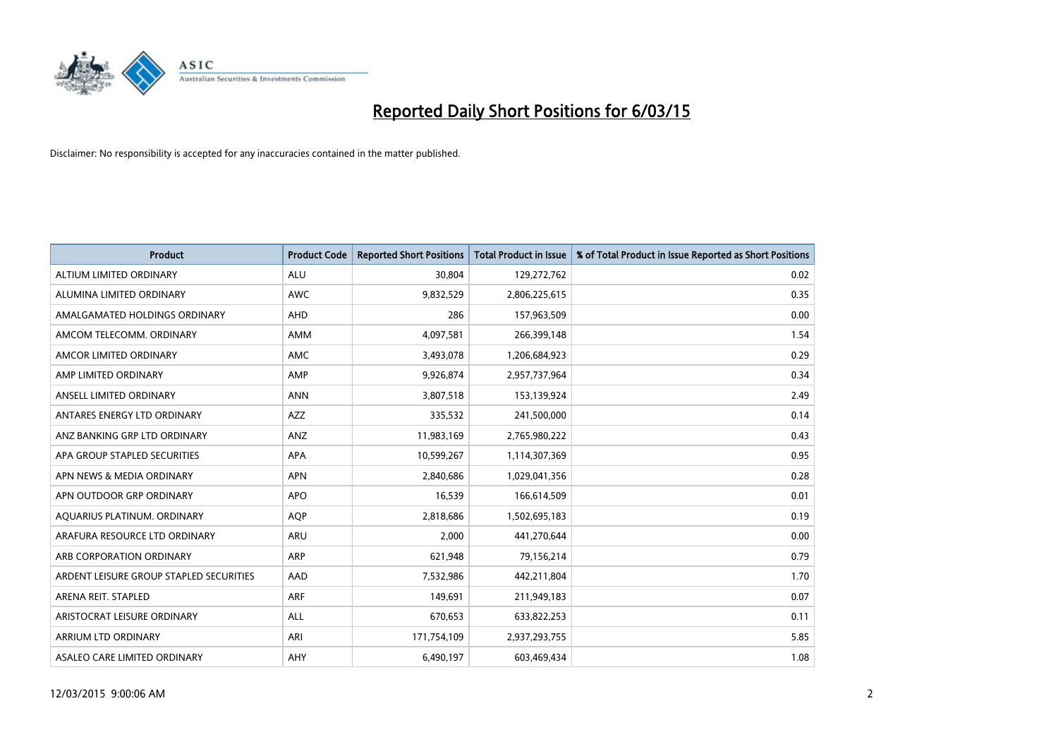

| <b>Product</b>                          | <b>Product Code</b> | <b>Reported Short Positions</b> | <b>Total Product in Issue</b> | % of Total Product in Issue Reported as Short Positions |
|-----------------------------------------|---------------------|---------------------------------|-------------------------------|---------------------------------------------------------|
| ALTIUM LIMITED ORDINARY                 | <b>ALU</b>          | 30,804                          | 129,272,762                   | 0.02                                                    |
| ALUMINA LIMITED ORDINARY                | AWC                 | 9,832,529                       | 2,806,225,615                 | 0.35                                                    |
| AMALGAMATED HOLDINGS ORDINARY           | AHD                 | 286                             | 157,963,509                   | 0.00                                                    |
| AMCOM TELECOMM, ORDINARY                | AMM                 | 4,097,581                       | 266,399,148                   | 1.54                                                    |
| AMCOR LIMITED ORDINARY                  | AMC                 | 3,493,078                       | 1,206,684,923                 | 0.29                                                    |
| AMP LIMITED ORDINARY                    | AMP                 | 9,926,874                       | 2,957,737,964                 | 0.34                                                    |
| ANSELL LIMITED ORDINARY                 | <b>ANN</b>          | 3,807,518                       | 153,139,924                   | 2.49                                                    |
| ANTARES ENERGY LTD ORDINARY             | AZZ                 | 335,532                         | 241,500,000                   | 0.14                                                    |
| ANZ BANKING GRP LTD ORDINARY            | ANZ                 | 11,983,169                      | 2,765,980,222                 | 0.43                                                    |
| APA GROUP STAPLED SECURITIES            | <b>APA</b>          | 10,599,267                      | 1,114,307,369                 | 0.95                                                    |
| APN NEWS & MEDIA ORDINARY               | <b>APN</b>          | 2,840,686                       | 1,029,041,356                 | 0.28                                                    |
| APN OUTDOOR GRP ORDINARY                | <b>APO</b>          | 16,539                          | 166,614,509                   | 0.01                                                    |
| AQUARIUS PLATINUM. ORDINARY             | <b>AOP</b>          | 2,818,686                       | 1,502,695,183                 | 0.19                                                    |
| ARAFURA RESOURCE LTD ORDINARY           | <b>ARU</b>          | 2,000                           | 441,270,644                   | 0.00                                                    |
| ARB CORPORATION ORDINARY                | ARP                 | 621,948                         | 79,156,214                    | 0.79                                                    |
| ARDENT LEISURE GROUP STAPLED SECURITIES | AAD                 | 7,532,986                       | 442,211,804                   | 1.70                                                    |
| ARENA REIT. STAPLED                     | <b>ARF</b>          | 149,691                         | 211,949,183                   | 0.07                                                    |
| ARISTOCRAT LEISURE ORDINARY             | ALL                 | 670,653                         | 633,822,253                   | 0.11                                                    |
| ARRIUM LTD ORDINARY                     | ARI                 | 171,754,109                     | 2,937,293,755                 | 5.85                                                    |
| ASALEO CARE LIMITED ORDINARY            | AHY                 | 6,490,197                       | 603,469,434                   | 1.08                                                    |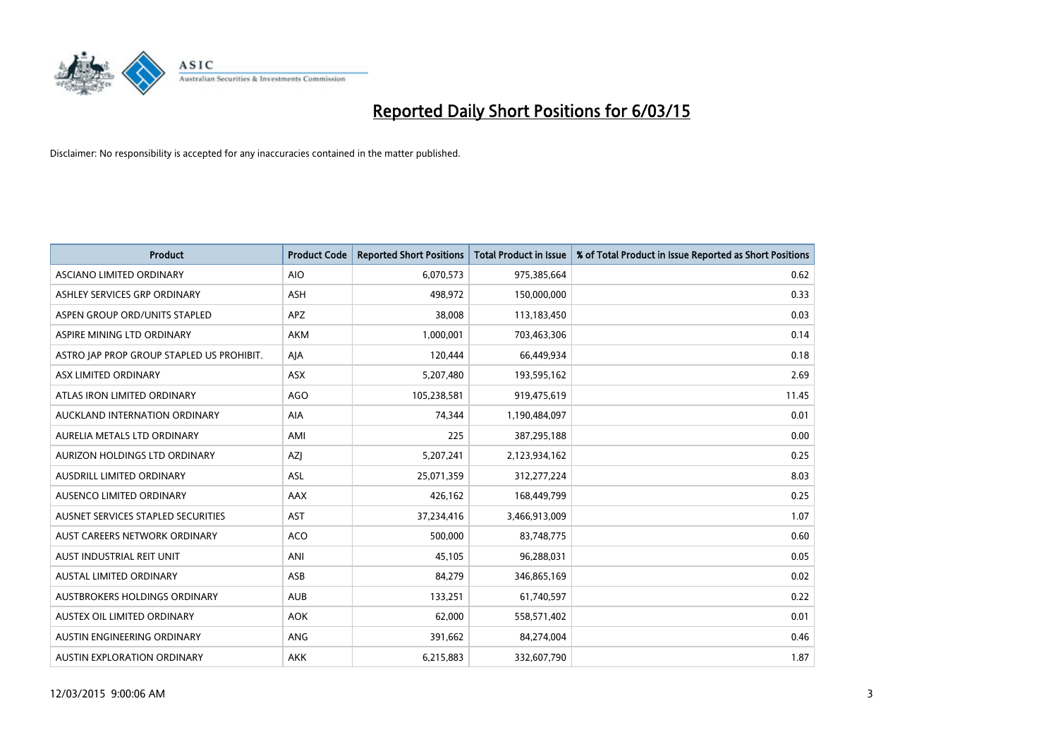

| <b>Product</b>                            | <b>Product Code</b> | <b>Reported Short Positions</b> | <b>Total Product in Issue</b> | % of Total Product in Issue Reported as Short Positions |
|-------------------------------------------|---------------------|---------------------------------|-------------------------------|---------------------------------------------------------|
| ASCIANO LIMITED ORDINARY                  | <b>AIO</b>          | 6,070,573                       | 975,385,664                   | 0.62                                                    |
| ASHLEY SERVICES GRP ORDINARY              | <b>ASH</b>          | 498,972                         | 150,000,000                   | 0.33                                                    |
| ASPEN GROUP ORD/UNITS STAPLED             | APZ                 | 38,008                          | 113,183,450                   | 0.03                                                    |
| ASPIRE MINING LTD ORDINARY                | <b>AKM</b>          | 1,000,001                       | 703,463,306                   | 0.14                                                    |
| ASTRO JAP PROP GROUP STAPLED US PROHIBIT. | AJA                 | 120,444                         | 66,449,934                    | 0.18                                                    |
| ASX LIMITED ORDINARY                      | ASX                 | 5,207,480                       | 193,595,162                   | 2.69                                                    |
| ATLAS IRON LIMITED ORDINARY               | <b>AGO</b>          | 105,238,581                     | 919,475,619                   | 11.45                                                   |
| AUCKLAND INTERNATION ORDINARY             | AIA                 | 74,344                          | 1,190,484,097                 | 0.01                                                    |
| AURELIA METALS LTD ORDINARY               | AMI                 | 225                             | 387,295,188                   | 0.00                                                    |
| AURIZON HOLDINGS LTD ORDINARY             | AZJ                 | 5,207,241                       | 2,123,934,162                 | 0.25                                                    |
| AUSDRILL LIMITED ORDINARY                 | ASL                 | 25,071,359                      | 312,277,224                   | 8.03                                                    |
| AUSENCO LIMITED ORDINARY                  | AAX                 | 426,162                         | 168,449,799                   | 0.25                                                    |
| AUSNET SERVICES STAPLED SECURITIES        | <b>AST</b>          | 37,234,416                      | 3,466,913,009                 | 1.07                                                    |
| AUST CAREERS NETWORK ORDINARY             | <b>ACO</b>          | 500,000                         | 83,748,775                    | 0.60                                                    |
| AUST INDUSTRIAL REIT UNIT                 | ANI                 | 45,105                          | 96,288,031                    | 0.05                                                    |
| AUSTAL LIMITED ORDINARY                   | ASB                 | 84,279                          | 346,865,169                   | 0.02                                                    |
| AUSTBROKERS HOLDINGS ORDINARY             | <b>AUB</b>          | 133,251                         | 61,740,597                    | 0.22                                                    |
| AUSTEX OIL LIMITED ORDINARY               | <b>AOK</b>          | 62,000                          | 558,571,402                   | 0.01                                                    |
| AUSTIN ENGINEERING ORDINARY               | ANG                 | 391,662                         | 84,274,004                    | 0.46                                                    |
| AUSTIN EXPLORATION ORDINARY               | <b>AKK</b>          | 6,215,883                       | 332,607,790                   | 1.87                                                    |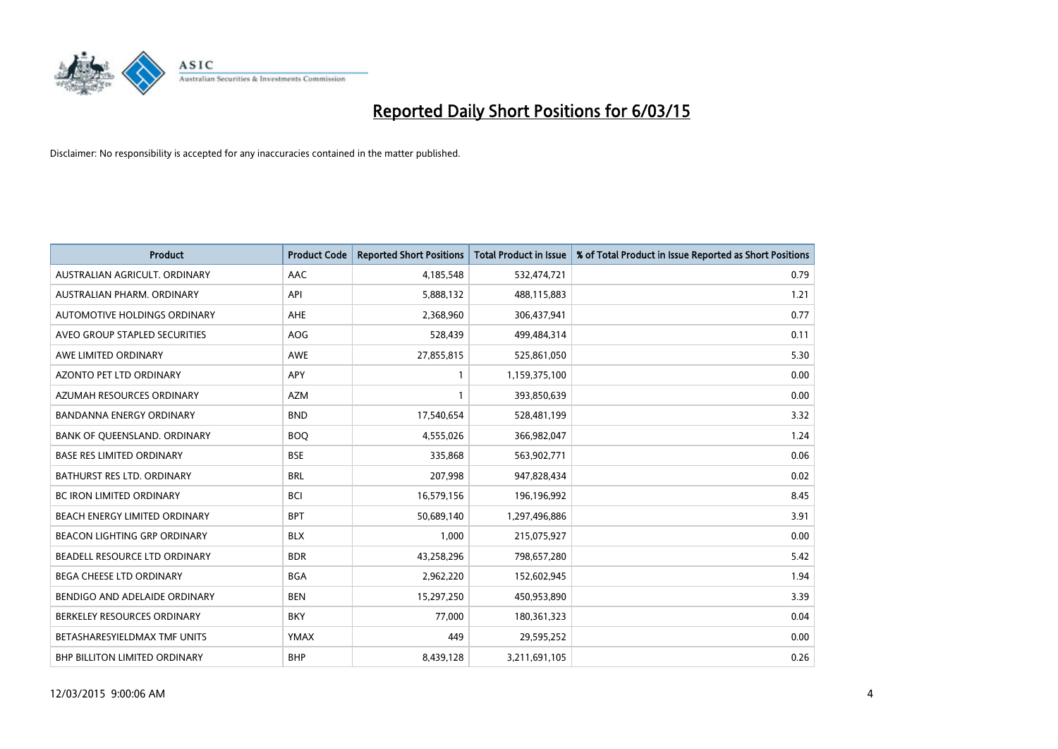

| <b>Product</b>                       | <b>Product Code</b> | <b>Reported Short Positions</b> | <b>Total Product in Issue</b> | % of Total Product in Issue Reported as Short Positions |
|--------------------------------------|---------------------|---------------------------------|-------------------------------|---------------------------------------------------------|
| AUSTRALIAN AGRICULT, ORDINARY        | AAC                 | 4,185,548                       | 532,474,721                   | 0.79                                                    |
| AUSTRALIAN PHARM. ORDINARY           | API                 | 5,888,132                       | 488,115,883                   | 1.21                                                    |
| AUTOMOTIVE HOLDINGS ORDINARY         | AHE                 | 2,368,960                       | 306,437,941                   | 0.77                                                    |
| AVEO GROUP STAPLED SECURITIES        | <b>AOG</b>          | 528,439                         | 499,484,314                   | 0.11                                                    |
| AWE LIMITED ORDINARY                 | AWE                 | 27,855,815                      | 525,861,050                   | 5.30                                                    |
| <b>AZONTO PET LTD ORDINARY</b>       | APY                 | 1                               | 1,159,375,100                 | 0.00                                                    |
| AZUMAH RESOURCES ORDINARY            | <b>AZM</b>          | 1                               | 393,850,639                   | 0.00                                                    |
| <b>BANDANNA ENERGY ORDINARY</b>      | <b>BND</b>          | 17,540,654                      | 528,481,199                   | 3.32                                                    |
| BANK OF QUEENSLAND. ORDINARY         | <b>BOQ</b>          | 4,555,026                       | 366,982,047                   | 1.24                                                    |
| <b>BASE RES LIMITED ORDINARY</b>     | <b>BSE</b>          | 335,868                         | 563,902,771                   | 0.06                                                    |
| BATHURST RES LTD. ORDINARY           | <b>BRL</b>          | 207,998                         | 947,828,434                   | 0.02                                                    |
| <b>BC IRON LIMITED ORDINARY</b>      | <b>BCI</b>          | 16,579,156                      | 196,196,992                   | 8.45                                                    |
| BEACH ENERGY LIMITED ORDINARY        | <b>BPT</b>          | 50,689,140                      | 1,297,496,886                 | 3.91                                                    |
| <b>BEACON LIGHTING GRP ORDINARY</b>  | <b>BLX</b>          | 1,000                           | 215,075,927                   | 0.00                                                    |
| BEADELL RESOURCE LTD ORDINARY        | <b>BDR</b>          | 43,258,296                      | 798,657,280                   | 5.42                                                    |
| <b>BEGA CHEESE LTD ORDINARY</b>      | <b>BGA</b>          | 2,962,220                       | 152,602,945                   | 1.94                                                    |
| BENDIGO AND ADELAIDE ORDINARY        | <b>BEN</b>          | 15,297,250                      | 450,953,890                   | 3.39                                                    |
| BERKELEY RESOURCES ORDINARY          | <b>BKY</b>          | 77,000                          | 180,361,323                   | 0.04                                                    |
| BETASHARESYIELDMAX TMF UNITS         | <b>YMAX</b>         | 449                             | 29,595,252                    | 0.00                                                    |
| <b>BHP BILLITON LIMITED ORDINARY</b> | <b>BHP</b>          | 8,439,128                       | 3,211,691,105                 | 0.26                                                    |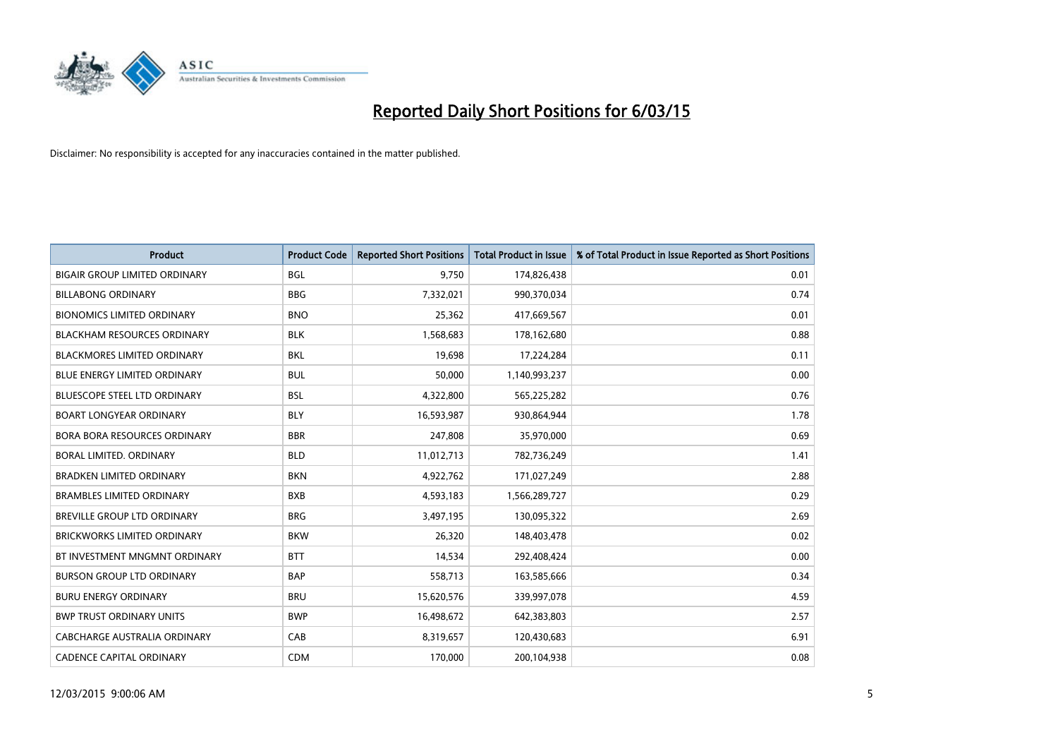

| <b>Product</b>                       | <b>Product Code</b> | <b>Reported Short Positions</b> | <b>Total Product in Issue</b> | % of Total Product in Issue Reported as Short Positions |
|--------------------------------------|---------------------|---------------------------------|-------------------------------|---------------------------------------------------------|
| <b>BIGAIR GROUP LIMITED ORDINARY</b> | <b>BGL</b>          | 9,750                           | 174,826,438                   | 0.01                                                    |
| <b>BILLABONG ORDINARY</b>            | <b>BBG</b>          | 7,332,021                       | 990,370,034                   | 0.74                                                    |
| <b>BIONOMICS LIMITED ORDINARY</b>    | <b>BNO</b>          | 25,362                          | 417,669,567                   | 0.01                                                    |
| <b>BLACKHAM RESOURCES ORDINARY</b>   | <b>BLK</b>          | 1,568,683                       | 178,162,680                   | 0.88                                                    |
| <b>BLACKMORES LIMITED ORDINARY</b>   | <b>BKL</b>          | 19,698                          | 17,224,284                    | 0.11                                                    |
| <b>BLUE ENERGY LIMITED ORDINARY</b>  | <b>BUL</b>          | 50,000                          | 1,140,993,237                 | 0.00                                                    |
| BLUESCOPE STEEL LTD ORDINARY         | <b>BSL</b>          | 4,322,800                       | 565,225,282                   | 0.76                                                    |
| <b>BOART LONGYEAR ORDINARY</b>       | <b>BLY</b>          | 16,593,987                      | 930,864,944                   | 1.78                                                    |
| <b>BORA BORA RESOURCES ORDINARY</b>  | <b>BBR</b>          | 247,808                         | 35,970,000                    | 0.69                                                    |
| <b>BORAL LIMITED, ORDINARY</b>       | <b>BLD</b>          | 11,012,713                      | 782,736,249                   | 1.41                                                    |
| <b>BRADKEN LIMITED ORDINARY</b>      | <b>BKN</b>          | 4,922,762                       | 171,027,249                   | 2.88                                                    |
| <b>BRAMBLES LIMITED ORDINARY</b>     | <b>BXB</b>          | 4,593,183                       | 1,566,289,727                 | 0.29                                                    |
| BREVILLE GROUP LTD ORDINARY          | <b>BRG</b>          | 3,497,195                       | 130,095,322                   | 2.69                                                    |
| <b>BRICKWORKS LIMITED ORDINARY</b>   | <b>BKW</b>          | 26,320                          | 148,403,478                   | 0.02                                                    |
| BT INVESTMENT MNGMNT ORDINARY        | <b>BTT</b>          | 14,534                          | 292,408,424                   | 0.00                                                    |
| <b>BURSON GROUP LTD ORDINARY</b>     | <b>BAP</b>          | 558,713                         | 163,585,666                   | 0.34                                                    |
| <b>BURU ENERGY ORDINARY</b>          | <b>BRU</b>          | 15,620,576                      | 339,997,078                   | 4.59                                                    |
| <b>BWP TRUST ORDINARY UNITS</b>      | <b>BWP</b>          | 16,498,672                      | 642,383,803                   | 2.57                                                    |
| CABCHARGE AUSTRALIA ORDINARY         | CAB                 | 8,319,657                       | 120,430,683                   | 6.91                                                    |
| <b>CADENCE CAPITAL ORDINARY</b>      | <b>CDM</b>          | 170,000                         | 200,104,938                   | 0.08                                                    |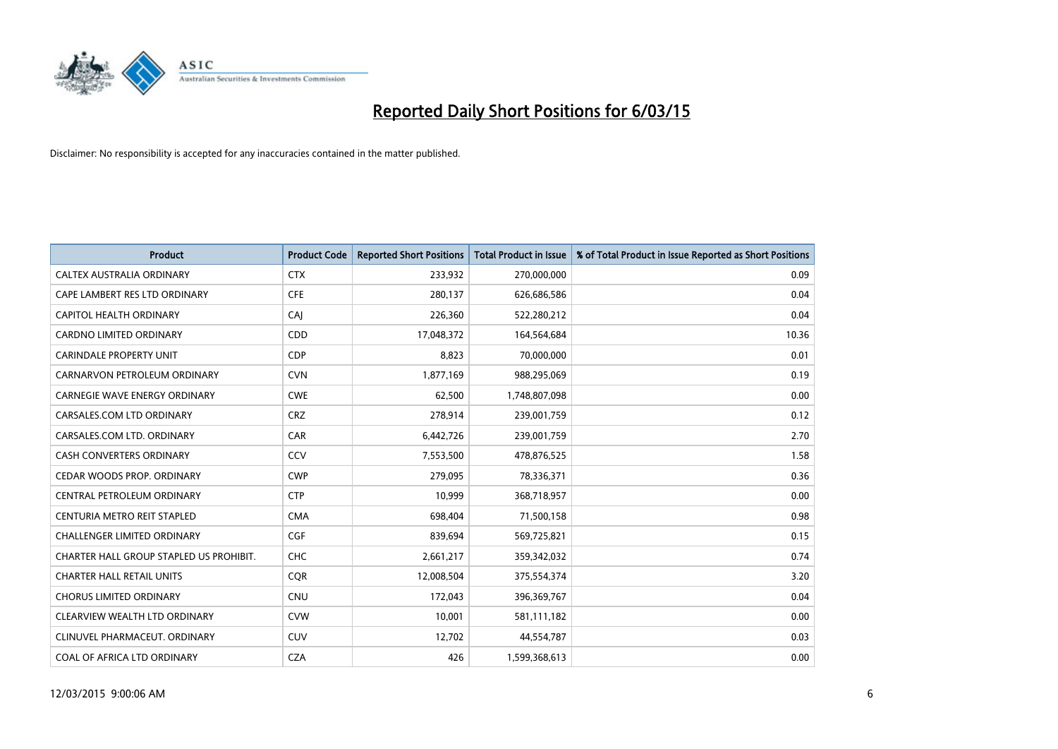

| <b>Product</b>                          | <b>Product Code</b> | <b>Reported Short Positions</b> | <b>Total Product in Issue</b> | % of Total Product in Issue Reported as Short Positions |
|-----------------------------------------|---------------------|---------------------------------|-------------------------------|---------------------------------------------------------|
| CALTEX AUSTRALIA ORDINARY               | <b>CTX</b>          | 233,932                         | 270,000,000                   | 0.09                                                    |
| CAPE LAMBERT RES LTD ORDINARY           | <b>CFE</b>          | 280,137                         | 626,686,586                   | 0.04                                                    |
| CAPITOL HEALTH ORDINARY                 | CAJ                 | 226,360                         | 522,280,212                   | 0.04                                                    |
| <b>CARDNO LIMITED ORDINARY</b>          | CDD                 | 17,048,372                      | 164,564,684                   | 10.36                                                   |
| <b>CARINDALE PROPERTY UNIT</b>          | <b>CDP</b>          | 8,823                           | 70,000,000                    | 0.01                                                    |
| CARNARVON PETROLEUM ORDINARY            | <b>CVN</b>          | 1,877,169                       | 988,295,069                   | 0.19                                                    |
| <b>CARNEGIE WAVE ENERGY ORDINARY</b>    | <b>CWE</b>          | 62,500                          | 1,748,807,098                 | 0.00                                                    |
| CARSALES.COM LTD ORDINARY               | <b>CRZ</b>          | 278,914                         | 239,001,759                   | 0.12                                                    |
| CARSALES.COM LTD. ORDINARY              | CAR                 | 6,442,726                       | 239,001,759                   | 2.70                                                    |
| <b>CASH CONVERTERS ORDINARY</b>         | CCV                 | 7,553,500                       | 478,876,525                   | 1.58                                                    |
| CEDAR WOODS PROP. ORDINARY              | <b>CWP</b>          | 279,095                         | 78,336,371                    | 0.36                                                    |
| CENTRAL PETROLEUM ORDINARY              | <b>CTP</b>          | 10,999                          | 368,718,957                   | 0.00                                                    |
| CENTURIA METRO REIT STAPLED             | <b>CMA</b>          | 698,404                         | 71,500,158                    | 0.98                                                    |
| <b>CHALLENGER LIMITED ORDINARY</b>      | <b>CGF</b>          | 839,694                         | 569,725,821                   | 0.15                                                    |
| CHARTER HALL GROUP STAPLED US PROHIBIT. | CHC                 | 2,661,217                       | 359,342,032                   | 0.74                                                    |
| <b>CHARTER HALL RETAIL UNITS</b>        | <b>COR</b>          | 12,008,504                      | 375,554,374                   | 3.20                                                    |
| <b>CHORUS LIMITED ORDINARY</b>          | <b>CNU</b>          | 172,043                         | 396,369,767                   | 0.04                                                    |
| CLEARVIEW WEALTH LTD ORDINARY           | <b>CVW</b>          | 10,001                          | 581,111,182                   | 0.00                                                    |
| CLINUVEL PHARMACEUT, ORDINARY           | <b>CUV</b>          | 12,702                          | 44,554,787                    | 0.03                                                    |
| COAL OF AFRICA LTD ORDINARY             | <b>CZA</b>          | 426                             | 1,599,368,613                 | 0.00                                                    |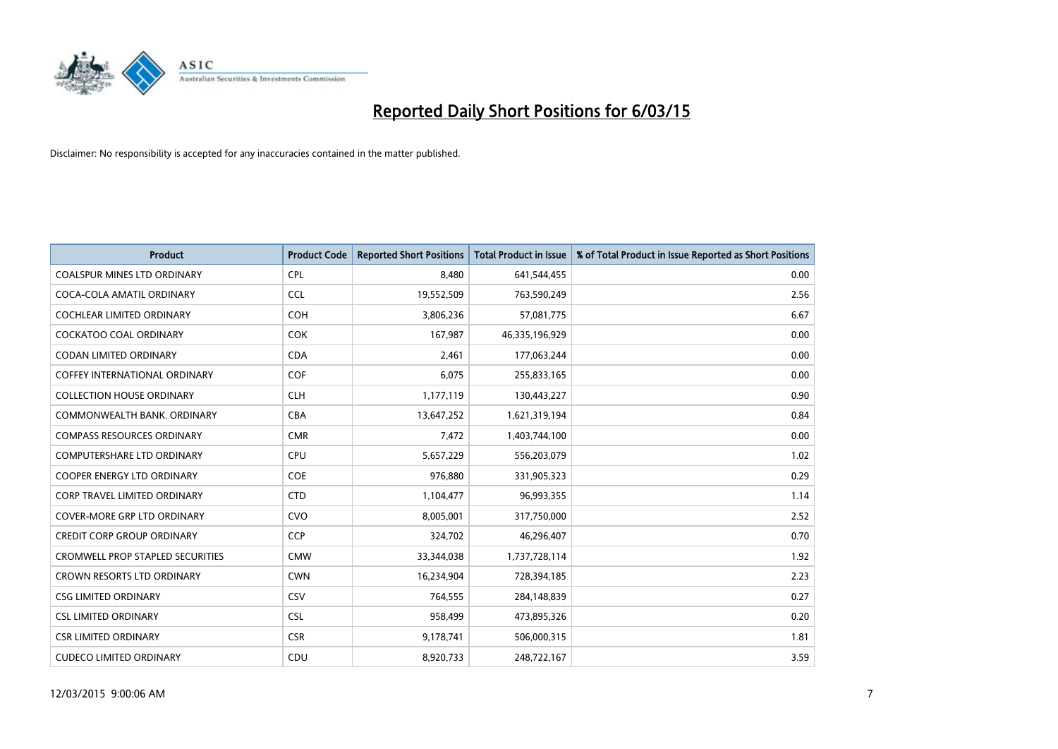

| <b>Product</b>                          | <b>Product Code</b> | <b>Reported Short Positions</b> | <b>Total Product in Issue</b> | % of Total Product in Issue Reported as Short Positions |
|-----------------------------------------|---------------------|---------------------------------|-------------------------------|---------------------------------------------------------|
| <b>COALSPUR MINES LTD ORDINARY</b>      | <b>CPL</b>          | 8,480                           | 641,544,455                   | 0.00                                                    |
| COCA-COLA AMATIL ORDINARY               | <b>CCL</b>          | 19,552,509                      | 763,590,249                   | 2.56                                                    |
| <b>COCHLEAR LIMITED ORDINARY</b>        | <b>COH</b>          | 3,806,236                       | 57,081,775                    | 6.67                                                    |
| <b>COCKATOO COAL ORDINARY</b>           | <b>COK</b>          | 167,987                         | 46,335,196,929                | 0.00                                                    |
| <b>CODAN LIMITED ORDINARY</b>           | <b>CDA</b>          | 2,461                           | 177,063,244                   | 0.00                                                    |
| <b>COFFEY INTERNATIONAL ORDINARY</b>    | <b>COF</b>          | 6,075                           | 255,833,165                   | 0.00                                                    |
| <b>COLLECTION HOUSE ORDINARY</b>        | <b>CLH</b>          | 1,177,119                       | 130,443,227                   | 0.90                                                    |
| COMMONWEALTH BANK, ORDINARY             | <b>CBA</b>          | 13,647,252                      | 1,621,319,194                 | 0.84                                                    |
| <b>COMPASS RESOURCES ORDINARY</b>       | <b>CMR</b>          | 7,472                           | 1,403,744,100                 | 0.00                                                    |
| <b>COMPUTERSHARE LTD ORDINARY</b>       | <b>CPU</b>          | 5,657,229                       | 556,203,079                   | 1.02                                                    |
| COOPER ENERGY LTD ORDINARY              | <b>COE</b>          | 976,880                         | 331,905,323                   | 0.29                                                    |
| <b>CORP TRAVEL LIMITED ORDINARY</b>     | <b>CTD</b>          | 1,104,477                       | 96,993,355                    | 1.14                                                    |
| COVER-MORE GRP LTD ORDINARY             | <b>CVO</b>          | 8,005,001                       | 317,750,000                   | 2.52                                                    |
| <b>CREDIT CORP GROUP ORDINARY</b>       | <b>CCP</b>          | 324,702                         | 46,296,407                    | 0.70                                                    |
| <b>CROMWELL PROP STAPLED SECURITIES</b> | <b>CMW</b>          | 33,344,038                      | 1,737,728,114                 | 1.92                                                    |
| CROWN RESORTS LTD ORDINARY              | <b>CWN</b>          | 16,234,904                      | 728,394,185                   | 2.23                                                    |
| <b>CSG LIMITED ORDINARY</b>             | <b>CSV</b>          | 764,555                         | 284,148,839                   | 0.27                                                    |
| <b>CSL LIMITED ORDINARY</b>             | <b>CSL</b>          | 958,499                         | 473,895,326                   | 0.20                                                    |
| <b>CSR LIMITED ORDINARY</b>             | <b>CSR</b>          | 9,178,741                       | 506,000,315                   | 1.81                                                    |
| <b>CUDECO LIMITED ORDINARY</b>          | CDU                 | 8,920,733                       | 248,722,167                   | 3.59                                                    |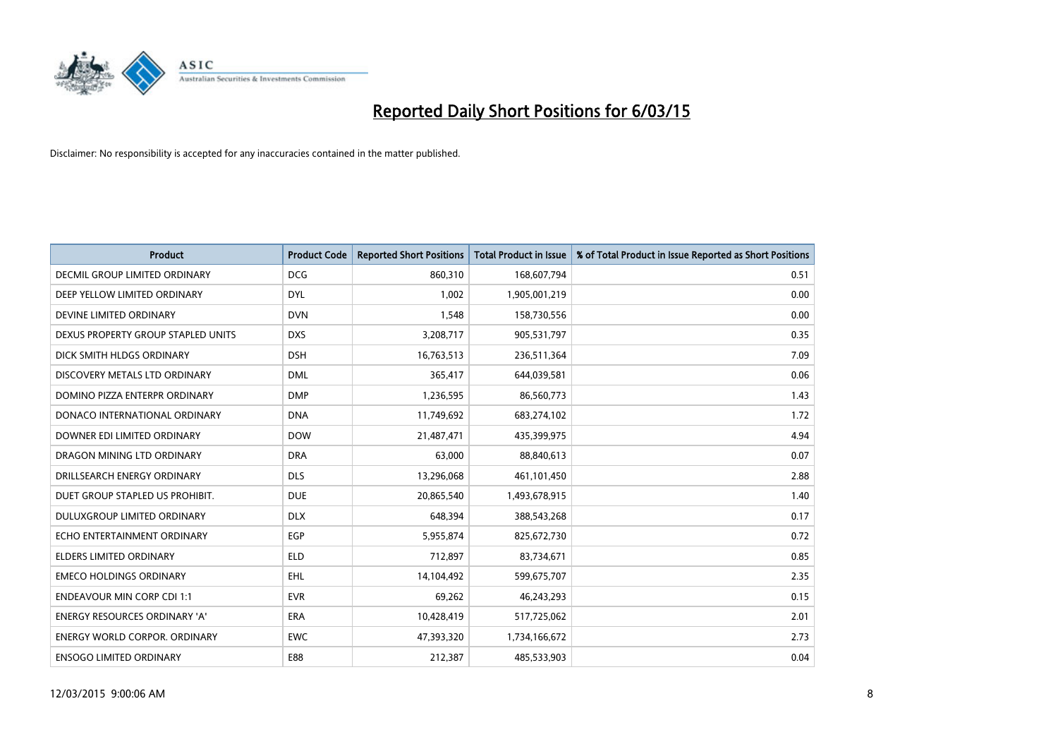

| <b>Product</b>                       | <b>Product Code</b> | <b>Reported Short Positions</b> | <b>Total Product in Issue</b> | % of Total Product in Issue Reported as Short Positions |
|--------------------------------------|---------------------|---------------------------------|-------------------------------|---------------------------------------------------------|
| DECMIL GROUP LIMITED ORDINARY        | <b>DCG</b>          | 860,310                         | 168,607,794                   | 0.51                                                    |
| DEEP YELLOW LIMITED ORDINARY         | <b>DYL</b>          | 1,002                           | 1,905,001,219                 | 0.00                                                    |
| DEVINE LIMITED ORDINARY              | <b>DVN</b>          | 1,548                           | 158,730,556                   | 0.00                                                    |
| DEXUS PROPERTY GROUP STAPLED UNITS   | <b>DXS</b>          | 3,208,717                       | 905,531,797                   | 0.35                                                    |
| DICK SMITH HLDGS ORDINARY            | <b>DSH</b>          | 16,763,513                      | 236,511,364                   | 7.09                                                    |
| DISCOVERY METALS LTD ORDINARY        | <b>DML</b>          | 365,417                         | 644,039,581                   | 0.06                                                    |
| DOMINO PIZZA ENTERPR ORDINARY        | <b>DMP</b>          | 1,236,595                       | 86,560,773                    | 1.43                                                    |
| DONACO INTERNATIONAL ORDINARY        | <b>DNA</b>          | 11,749,692                      | 683,274,102                   | 1.72                                                    |
| DOWNER EDI LIMITED ORDINARY          | <b>DOW</b>          | 21,487,471                      | 435,399,975                   | 4.94                                                    |
| DRAGON MINING LTD ORDINARY           | <b>DRA</b>          | 63,000                          | 88,840,613                    | 0.07                                                    |
| DRILLSEARCH ENERGY ORDINARY          | <b>DLS</b>          | 13,296,068                      | 461,101,450                   | 2.88                                                    |
| DUET GROUP STAPLED US PROHIBIT.      | <b>DUE</b>          | 20,865,540                      | 1,493,678,915                 | 1.40                                                    |
| DULUXGROUP LIMITED ORDINARY          | <b>DLX</b>          | 648,394                         | 388,543,268                   | 0.17                                                    |
| ECHO ENTERTAINMENT ORDINARY          | <b>EGP</b>          | 5,955,874                       | 825,672,730                   | 0.72                                                    |
| <b>ELDERS LIMITED ORDINARY</b>       | <b>ELD</b>          | 712,897                         | 83,734,671                    | 0.85                                                    |
| <b>EMECO HOLDINGS ORDINARY</b>       | <b>EHL</b>          | 14,104,492                      | 599,675,707                   | 2.35                                                    |
| <b>ENDEAVOUR MIN CORP CDI 1:1</b>    | <b>EVR</b>          | 69,262                          | 46,243,293                    | 0.15                                                    |
| <b>ENERGY RESOURCES ORDINARY 'A'</b> | <b>ERA</b>          | 10,428,419                      | 517,725,062                   | 2.01                                                    |
| <b>ENERGY WORLD CORPOR, ORDINARY</b> | <b>EWC</b>          | 47,393,320                      | 1,734,166,672                 | 2.73                                                    |
| <b>ENSOGO LIMITED ORDINARY</b>       | E88                 | 212,387                         | 485,533,903                   | 0.04                                                    |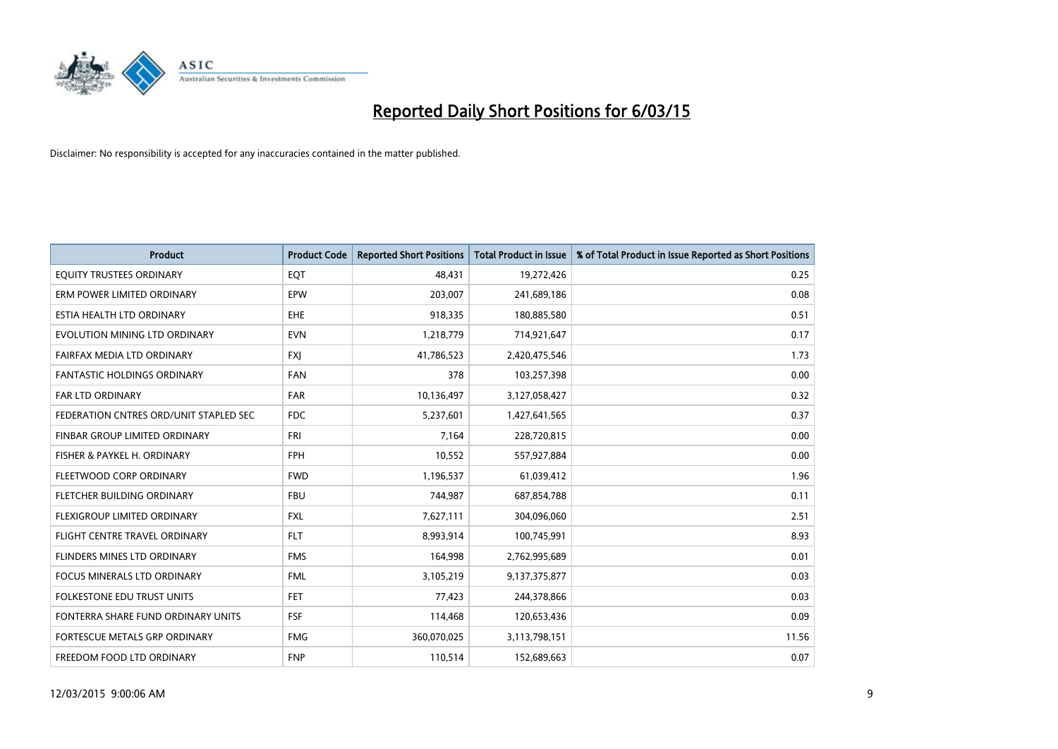

| <b>Product</b>                         | <b>Product Code</b> | <b>Reported Short Positions</b> | <b>Total Product in Issue</b> | % of Total Product in Issue Reported as Short Positions |
|----------------------------------------|---------------------|---------------------------------|-------------------------------|---------------------------------------------------------|
| EQUITY TRUSTEES ORDINARY               | EQT                 | 48,431                          | 19,272,426                    | 0.25                                                    |
| ERM POWER LIMITED ORDINARY             | EPW                 | 203,007                         | 241,689,186                   | 0.08                                                    |
| ESTIA HEALTH LTD ORDINARY              | EHE                 | 918,335                         | 180,885,580                   | 0.51                                                    |
| EVOLUTION MINING LTD ORDINARY          | <b>EVN</b>          | 1,218,779                       | 714,921,647                   | 0.17                                                    |
| FAIRFAX MEDIA LTD ORDINARY             | <b>FXI</b>          | 41,786,523                      | 2,420,475,546                 | 1.73                                                    |
| <b>FANTASTIC HOLDINGS ORDINARY</b>     | <b>FAN</b>          | 378                             | 103,257,398                   | 0.00                                                    |
| <b>FAR LTD ORDINARY</b>                | <b>FAR</b>          | 10,136,497                      | 3,127,058,427                 | 0.32                                                    |
| FEDERATION CNTRES ORD/UNIT STAPLED SEC | FDC                 | 5,237,601                       | 1,427,641,565                 | 0.37                                                    |
| FINBAR GROUP LIMITED ORDINARY          | <b>FRI</b>          | 7,164                           | 228,720,815                   | 0.00                                                    |
| FISHER & PAYKEL H. ORDINARY            | <b>FPH</b>          | 10,552                          | 557,927,884                   | 0.00                                                    |
| FLEETWOOD CORP ORDINARY                | <b>FWD</b>          | 1,196,537                       | 61,039,412                    | 1.96                                                    |
| FLETCHER BUILDING ORDINARY             | <b>FBU</b>          | 744,987                         | 687,854,788                   | 0.11                                                    |
| FLEXIGROUP LIMITED ORDINARY            | FXL                 | 7,627,111                       | 304,096,060                   | 2.51                                                    |
| FLIGHT CENTRE TRAVEL ORDINARY          | <b>FLT</b>          | 8,993,914                       | 100,745,991                   | 8.93                                                    |
| FLINDERS MINES LTD ORDINARY            | <b>FMS</b>          | 164,998                         | 2,762,995,689                 | 0.01                                                    |
| <b>FOCUS MINERALS LTD ORDINARY</b>     | <b>FML</b>          | 3,105,219                       | 9,137,375,877                 | 0.03                                                    |
| <b>FOLKESTONE EDU TRUST UNITS</b>      | FET                 | 77,423                          | 244,378,866                   | 0.03                                                    |
| FONTERRA SHARE FUND ORDINARY UNITS     | <b>FSF</b>          | 114,468                         | 120,653,436                   | 0.09                                                    |
| FORTESCUE METALS GRP ORDINARY          | <b>FMG</b>          | 360,070,025                     | 3,113,798,151                 | 11.56                                                   |
| FREEDOM FOOD LTD ORDINARY              | <b>FNP</b>          | 110,514                         | 152,689,663                   | 0.07                                                    |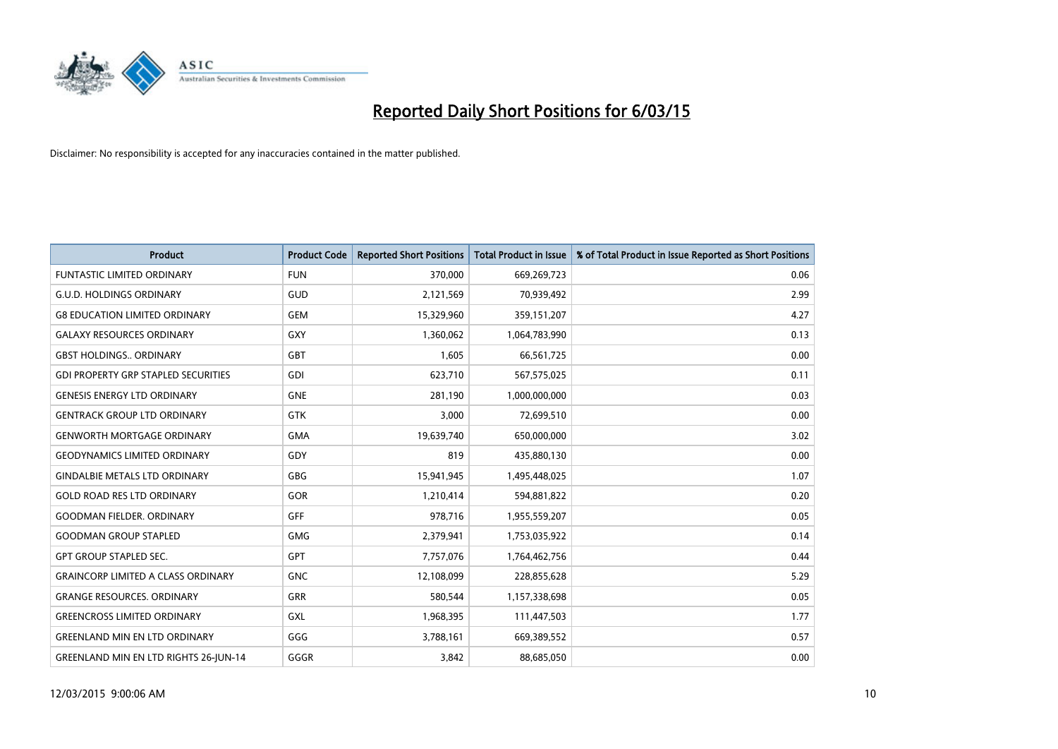

| <b>Product</b>                               | <b>Product Code</b> | <b>Reported Short Positions</b> | <b>Total Product in Issue</b> | % of Total Product in Issue Reported as Short Positions |
|----------------------------------------------|---------------------|---------------------------------|-------------------------------|---------------------------------------------------------|
| <b>FUNTASTIC LIMITED ORDINARY</b>            | <b>FUN</b>          | 370,000                         | 669,269,723                   | 0.06                                                    |
| <b>G.U.D. HOLDINGS ORDINARY</b>              | GUD                 | 2,121,569                       | 70,939,492                    | 2.99                                                    |
| <b>G8 EDUCATION LIMITED ORDINARY</b>         | <b>GEM</b>          | 15,329,960                      | 359,151,207                   | 4.27                                                    |
| <b>GALAXY RESOURCES ORDINARY</b>             | GXY                 | 1,360,062                       | 1,064,783,990                 | 0.13                                                    |
| <b>GBST HOLDINGS., ORDINARY</b>              | GBT                 | 1,605                           | 66,561,725                    | 0.00                                                    |
| <b>GDI PROPERTY GRP STAPLED SECURITIES</b>   | <b>GDI</b>          | 623,710                         | 567,575,025                   | 0.11                                                    |
| <b>GENESIS ENERGY LTD ORDINARY</b>           | <b>GNE</b>          | 281,190                         | 1,000,000,000                 | 0.03                                                    |
| <b>GENTRACK GROUP LTD ORDINARY</b>           | GTK                 | 3,000                           | 72,699,510                    | 0.00                                                    |
| <b>GENWORTH MORTGAGE ORDINARY</b>            | <b>GMA</b>          | 19,639,740                      | 650,000,000                   | 3.02                                                    |
| <b>GEODYNAMICS LIMITED ORDINARY</b>          | GDY                 | 819                             | 435,880,130                   | 0.00                                                    |
| <b>GINDALBIE METALS LTD ORDINARY</b>         | GBG                 | 15,941,945                      | 1,495,448,025                 | 1.07                                                    |
| <b>GOLD ROAD RES LTD ORDINARY</b>            | GOR                 | 1,210,414                       | 594,881,822                   | 0.20                                                    |
| <b>GOODMAN FIELDER. ORDINARY</b>             | <b>GFF</b>          | 978,716                         | 1,955,559,207                 | 0.05                                                    |
| <b>GOODMAN GROUP STAPLED</b>                 | GMG                 | 2,379,941                       | 1,753,035,922                 | 0.14                                                    |
| <b>GPT GROUP STAPLED SEC.</b>                | <b>GPT</b>          | 7,757,076                       | 1,764,462,756                 | 0.44                                                    |
| <b>GRAINCORP LIMITED A CLASS ORDINARY</b>    | <b>GNC</b>          | 12,108,099                      | 228,855,628                   | 5.29                                                    |
| <b>GRANGE RESOURCES. ORDINARY</b>            | GRR                 | 580,544                         | 1,157,338,698                 | 0.05                                                    |
| <b>GREENCROSS LIMITED ORDINARY</b>           | GXL                 | 1,968,395                       | 111,447,503                   | 1.77                                                    |
| <b>GREENLAND MIN EN LTD ORDINARY</b>         | GGG                 | 3,788,161                       | 669,389,552                   | 0.57                                                    |
| <b>GREENLAND MIN EN LTD RIGHTS 26-JUN-14</b> | GGGR                | 3,842                           | 88,685,050                    | 0.00                                                    |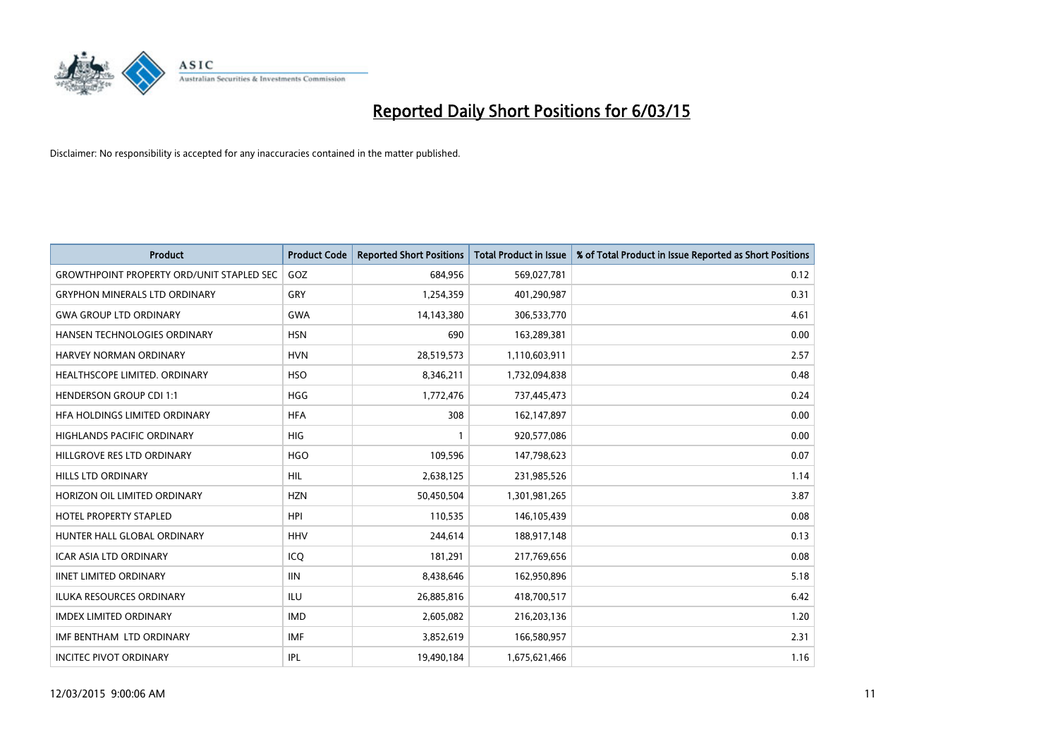

| <b>Product</b>                                   | <b>Product Code</b> | <b>Reported Short Positions</b> | <b>Total Product in Issue</b> | % of Total Product in Issue Reported as Short Positions |
|--------------------------------------------------|---------------------|---------------------------------|-------------------------------|---------------------------------------------------------|
| <b>GROWTHPOINT PROPERTY ORD/UNIT STAPLED SEC</b> | GOZ                 | 684,956                         | 569,027,781                   | 0.12                                                    |
| <b>GRYPHON MINERALS LTD ORDINARY</b>             | <b>GRY</b>          | 1,254,359                       | 401,290,987                   | 0.31                                                    |
| <b>GWA GROUP LTD ORDINARY</b>                    | <b>GWA</b>          | 14,143,380                      | 306,533,770                   | 4.61                                                    |
| HANSEN TECHNOLOGIES ORDINARY                     | <b>HSN</b>          | 690                             | 163,289,381                   | 0.00                                                    |
| <b>HARVEY NORMAN ORDINARY</b>                    | <b>HVN</b>          | 28,519,573                      | 1,110,603,911                 | 2.57                                                    |
| HEALTHSCOPE LIMITED. ORDINARY                    | <b>HSO</b>          | 8,346,211                       | 1,732,094,838                 | 0.48                                                    |
| <b>HENDERSON GROUP CDI 1:1</b>                   | <b>HGG</b>          | 1,772,476                       | 737,445,473                   | 0.24                                                    |
| HFA HOLDINGS LIMITED ORDINARY                    | <b>HFA</b>          | 308                             | 162,147,897                   | 0.00                                                    |
| <b>HIGHLANDS PACIFIC ORDINARY</b>                | <b>HIG</b>          | 1                               | 920,577,086                   | 0.00                                                    |
| HILLGROVE RES LTD ORDINARY                       | <b>HGO</b>          | 109,596                         | 147,798,623                   | 0.07                                                    |
| HILLS LTD ORDINARY                               | <b>HIL</b>          | 2,638,125                       | 231,985,526                   | 1.14                                                    |
| HORIZON OIL LIMITED ORDINARY                     | <b>HZN</b>          | 50,450,504                      | 1,301,981,265                 | 3.87                                                    |
| <b>HOTEL PROPERTY STAPLED</b>                    | <b>HPI</b>          | 110,535                         | 146, 105, 439                 | 0.08                                                    |
| HUNTER HALL GLOBAL ORDINARY                      | <b>HHV</b>          | 244,614                         | 188,917,148                   | 0.13                                                    |
| <b>ICAR ASIA LTD ORDINARY</b>                    | ICQ                 | 181,291                         | 217,769,656                   | 0.08                                                    |
| <b>IINET LIMITED ORDINARY</b>                    | <b>IIN</b>          | 8,438,646                       | 162,950,896                   | 5.18                                                    |
| ILUKA RESOURCES ORDINARY                         | ILU                 | 26,885,816                      | 418,700,517                   | 6.42                                                    |
| <b>IMDEX LIMITED ORDINARY</b>                    | <b>IMD</b>          | 2,605,082                       | 216,203,136                   | 1.20                                                    |
| IMF BENTHAM LTD ORDINARY                         | <b>IMF</b>          | 3,852,619                       | 166,580,957                   | 2.31                                                    |
| <b>INCITEC PIVOT ORDINARY</b>                    | <b>IPL</b>          | 19,490,184                      | 1,675,621,466                 | 1.16                                                    |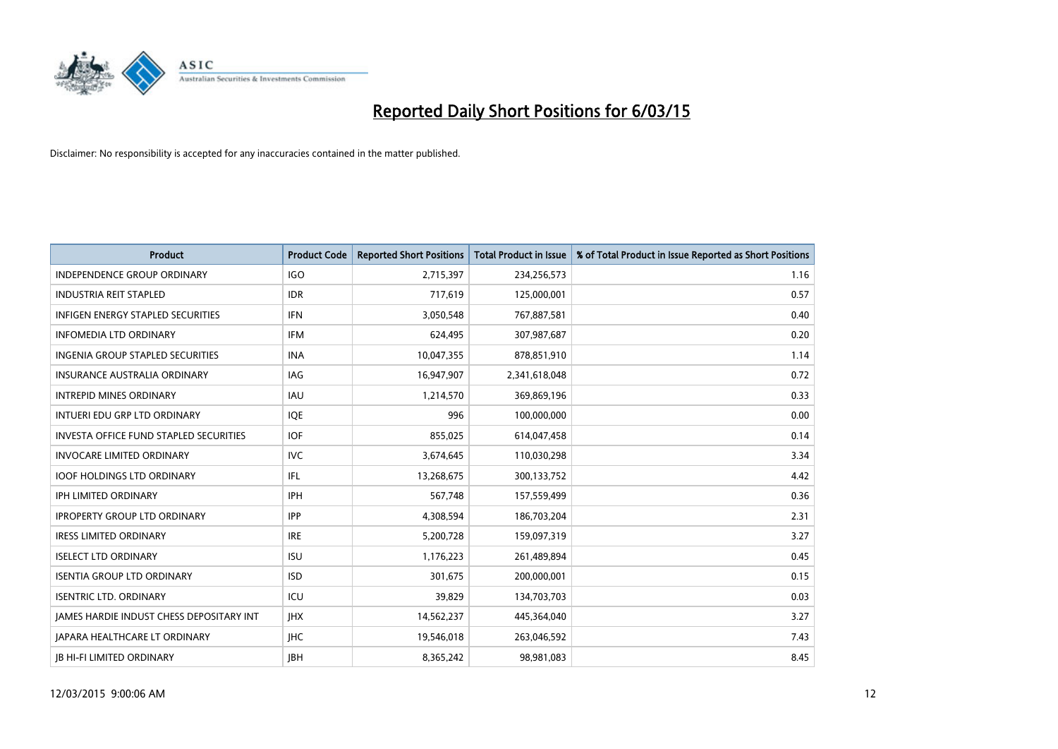

| <b>Product</b>                           | <b>Product Code</b> | <b>Reported Short Positions</b> | <b>Total Product in Issue</b> | % of Total Product in Issue Reported as Short Positions |
|------------------------------------------|---------------------|---------------------------------|-------------------------------|---------------------------------------------------------|
| <b>INDEPENDENCE GROUP ORDINARY</b>       | <b>IGO</b>          | 2,715,397                       | 234,256,573                   | 1.16                                                    |
| <b>INDUSTRIA REIT STAPLED</b>            | <b>IDR</b>          | 717,619                         | 125,000,001                   | 0.57                                                    |
| <b>INFIGEN ENERGY STAPLED SECURITIES</b> | <b>IFN</b>          | 3,050,548                       | 767,887,581                   | 0.40                                                    |
| <b>INFOMEDIA LTD ORDINARY</b>            | <b>IFM</b>          | 624,495                         | 307,987,687                   | 0.20                                                    |
| <b>INGENIA GROUP STAPLED SECURITIES</b>  | <b>INA</b>          | 10,047,355                      | 878,851,910                   | 1.14                                                    |
| <b>INSURANCE AUSTRALIA ORDINARY</b>      | IAG                 | 16,947,907                      | 2,341,618,048                 | 0.72                                                    |
| <b>INTREPID MINES ORDINARY</b>           | <b>IAU</b>          | 1,214,570                       | 369,869,196                   | 0.33                                                    |
| INTUERI EDU GRP LTD ORDINARY             | IQE                 | 996                             | 100,000,000                   | 0.00                                                    |
| INVESTA OFFICE FUND STAPLED SECURITIES   | <b>IOF</b>          | 855,025                         | 614,047,458                   | 0.14                                                    |
| <b>INVOCARE LIMITED ORDINARY</b>         | IVC                 | 3,674,645                       | 110,030,298                   | 3.34                                                    |
| <b>IOOF HOLDINGS LTD ORDINARY</b>        | IFL                 | 13,268,675                      | 300,133,752                   | 4.42                                                    |
| <b>IPH LIMITED ORDINARY</b>              | IPH                 | 567,748                         | 157,559,499                   | 0.36                                                    |
| <b>IPROPERTY GROUP LTD ORDINARY</b>      | <b>IPP</b>          | 4,308,594                       | 186,703,204                   | 2.31                                                    |
| <b>IRESS LIMITED ORDINARY</b>            | <b>IRE</b>          | 5,200,728                       | 159,097,319                   | 3.27                                                    |
| <b>ISELECT LTD ORDINARY</b>              | <b>ISU</b>          | 1,176,223                       | 261,489,894                   | 0.45                                                    |
| <b>ISENTIA GROUP LTD ORDINARY</b>        | <b>ISD</b>          | 301,675                         | 200,000,001                   | 0.15                                                    |
| <b>ISENTRIC LTD. ORDINARY</b>            | ICU                 | 39,829                          | 134,703,703                   | 0.03                                                    |
| JAMES HARDIE INDUST CHESS DEPOSITARY INT | <b>IHX</b>          | 14,562,237                      | 445,364,040                   | 3.27                                                    |
| <b>IAPARA HEALTHCARE LT ORDINARY</b>     | <b>IHC</b>          | 19,546,018                      | 263,046,592                   | 7.43                                                    |
| <b>IB HI-FI LIMITED ORDINARY</b>         | <b>IBH</b>          | 8,365,242                       | 98,981,083                    | 8.45                                                    |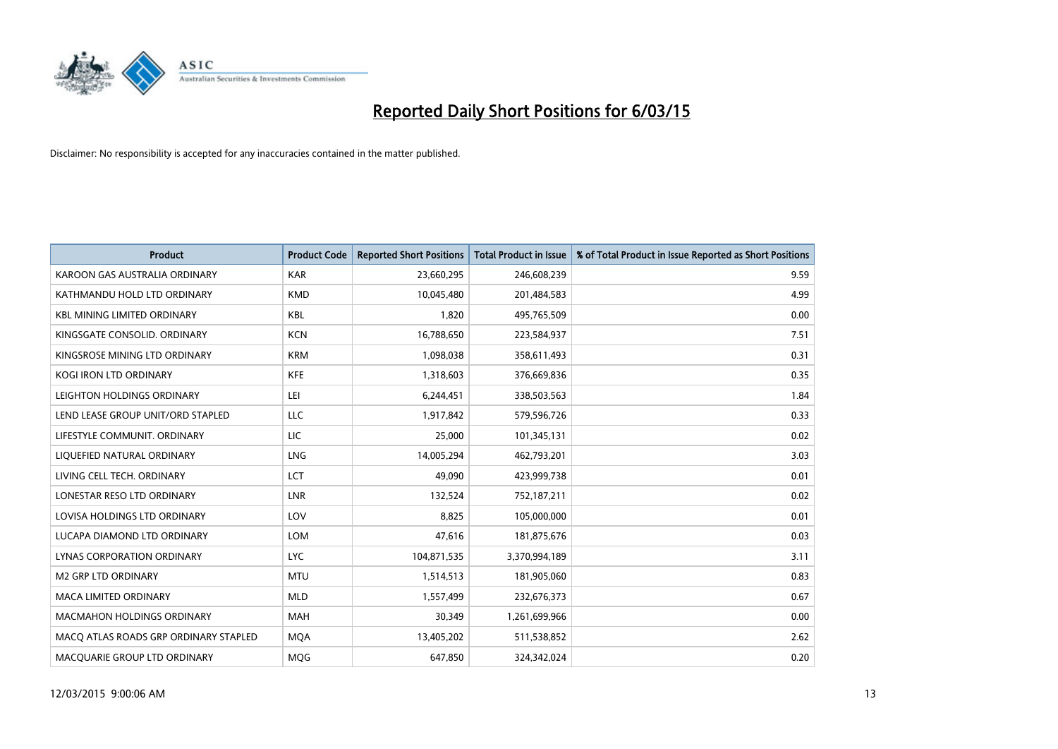

| <b>Product</b>                        | <b>Product Code</b> | <b>Reported Short Positions</b> | <b>Total Product in Issue</b> | % of Total Product in Issue Reported as Short Positions |
|---------------------------------------|---------------------|---------------------------------|-------------------------------|---------------------------------------------------------|
| KAROON GAS AUSTRALIA ORDINARY         | <b>KAR</b>          | 23,660,295                      | 246,608,239                   | 9.59                                                    |
| KATHMANDU HOLD LTD ORDINARY           | <b>KMD</b>          | 10,045,480                      | 201,484,583                   | 4.99                                                    |
| <b>KBL MINING LIMITED ORDINARY</b>    | <b>KBL</b>          | 1,820                           | 495,765,509                   | 0.00                                                    |
| KINGSGATE CONSOLID. ORDINARY          | <b>KCN</b>          | 16,788,650                      | 223,584,937                   | 7.51                                                    |
| KINGSROSE MINING LTD ORDINARY         | <b>KRM</b>          | 1,098,038                       | 358,611,493                   | 0.31                                                    |
| <b>KOGI IRON LTD ORDINARY</b>         | <b>KFE</b>          | 1,318,603                       | 376,669,836                   | 0.35                                                    |
| LEIGHTON HOLDINGS ORDINARY            | LEI                 | 6,244,451                       | 338,503,563                   | 1.84                                                    |
| LEND LEASE GROUP UNIT/ORD STAPLED     | LLC                 | 1,917,842                       | 579,596,726                   | 0.33                                                    |
| LIFESTYLE COMMUNIT. ORDINARY          | LIC                 | 25,000                          | 101,345,131                   | 0.02                                                    |
| LIQUEFIED NATURAL ORDINARY            | LNG                 | 14,005,294                      | 462,793,201                   | 3.03                                                    |
| LIVING CELL TECH. ORDINARY            | <b>LCT</b>          | 49,090                          | 423,999,738                   | 0.01                                                    |
| LONESTAR RESO LTD ORDINARY            | LNR                 | 132,524                         | 752,187,211                   | 0.02                                                    |
| LOVISA HOLDINGS LTD ORDINARY          | LOV                 | 8,825                           | 105,000,000                   | 0.01                                                    |
| LUCAPA DIAMOND LTD ORDINARY           | <b>LOM</b>          | 47,616                          | 181,875,676                   | 0.03                                                    |
| LYNAS CORPORATION ORDINARY            | <b>LYC</b>          | 104,871,535                     | 3,370,994,189                 | 3.11                                                    |
| <b>M2 GRP LTD ORDINARY</b>            | <b>MTU</b>          | 1,514,513                       | 181,905,060                   | 0.83                                                    |
| <b>MACA LIMITED ORDINARY</b>          | <b>MLD</b>          | 1,557,499                       | 232,676,373                   | 0.67                                                    |
| <b>MACMAHON HOLDINGS ORDINARY</b>     | <b>MAH</b>          | 30,349                          | 1,261,699,966                 | 0.00                                                    |
| MACO ATLAS ROADS GRP ORDINARY STAPLED | <b>MOA</b>          | 13,405,202                      | 511,538,852                   | 2.62                                                    |
| MACQUARIE GROUP LTD ORDINARY          | MQG                 | 647,850                         | 324,342,024                   | 0.20                                                    |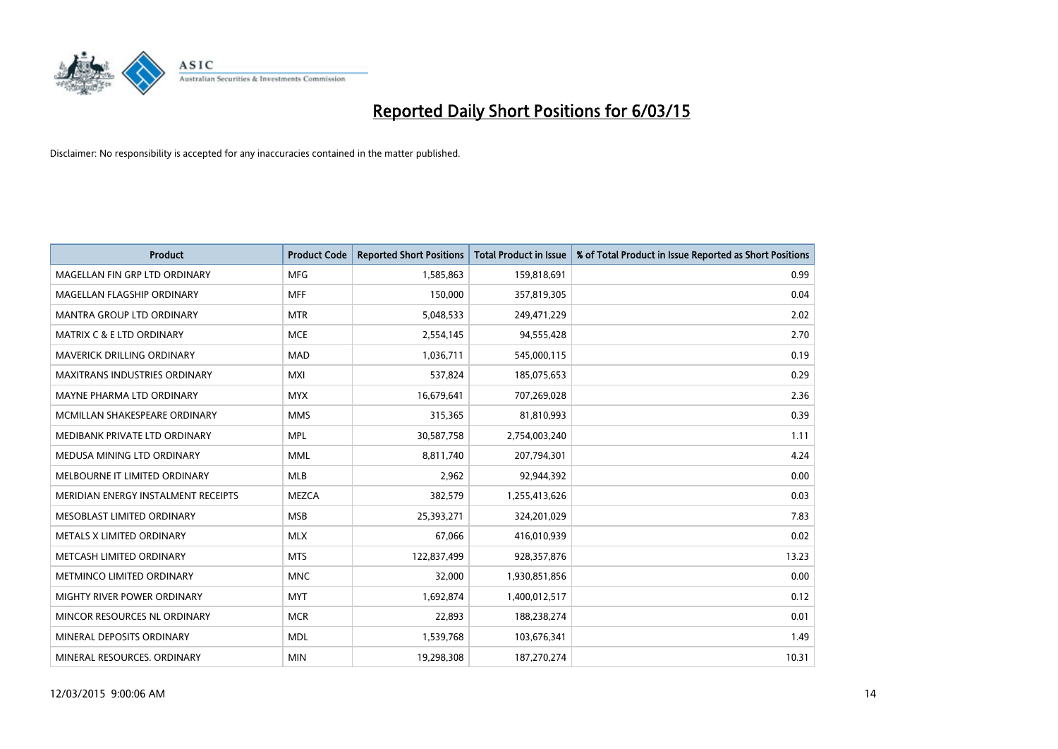

| <b>Product</b>                       | <b>Product Code</b> | <b>Reported Short Positions</b> | <b>Total Product in Issue</b> | % of Total Product in Issue Reported as Short Positions |
|--------------------------------------|---------------------|---------------------------------|-------------------------------|---------------------------------------------------------|
| MAGELLAN FIN GRP LTD ORDINARY        | <b>MFG</b>          | 1,585,863                       | 159,818,691                   | 0.99                                                    |
| MAGELLAN FLAGSHIP ORDINARY           | <b>MFF</b>          | 150,000                         | 357,819,305                   | 0.04                                                    |
| <b>MANTRA GROUP LTD ORDINARY</b>     | <b>MTR</b>          | 5,048,533                       | 249,471,229                   | 2.02                                                    |
| <b>MATRIX C &amp; E LTD ORDINARY</b> | <b>MCE</b>          | 2,554,145                       | 94,555,428                    | 2.70                                                    |
| <b>MAVERICK DRILLING ORDINARY</b>    | <b>MAD</b>          | 1,036,711                       | 545,000,115                   | 0.19                                                    |
| <b>MAXITRANS INDUSTRIES ORDINARY</b> | <b>MXI</b>          | 537,824                         | 185,075,653                   | 0.29                                                    |
| MAYNE PHARMA LTD ORDINARY            | <b>MYX</b>          | 16,679,641                      | 707,269,028                   | 2.36                                                    |
| MCMILLAN SHAKESPEARE ORDINARY        | <b>MMS</b>          | 315,365                         | 81,810,993                    | 0.39                                                    |
| MEDIBANK PRIVATE LTD ORDINARY        | <b>MPL</b>          | 30,587,758                      | 2,754,003,240                 | 1.11                                                    |
| MEDUSA MINING LTD ORDINARY           | <b>MML</b>          | 8,811,740                       | 207,794,301                   | 4.24                                                    |
| MELBOURNE IT LIMITED ORDINARY        | MLB                 | 2,962                           | 92,944,392                    | 0.00                                                    |
| MERIDIAN ENERGY INSTALMENT RECEIPTS  | <b>MEZCA</b>        | 382,579                         | 1,255,413,626                 | 0.03                                                    |
| MESOBLAST LIMITED ORDINARY           | <b>MSB</b>          | 25,393,271                      | 324,201,029                   | 7.83                                                    |
| METALS X LIMITED ORDINARY            | <b>MLX</b>          | 67,066                          | 416,010,939                   | 0.02                                                    |
| METCASH LIMITED ORDINARY             | <b>MTS</b>          | 122,837,499                     | 928,357,876                   | 13.23                                                   |
| METMINCO LIMITED ORDINARY            | <b>MNC</b>          | 32,000                          | 1,930,851,856                 | 0.00                                                    |
| MIGHTY RIVER POWER ORDINARY          | <b>MYT</b>          | 1,692,874                       | 1,400,012,517                 | 0.12                                                    |
| MINCOR RESOURCES NL ORDINARY         | <b>MCR</b>          | 22,893                          | 188,238,274                   | 0.01                                                    |
| MINERAL DEPOSITS ORDINARY            | <b>MDL</b>          | 1,539,768                       | 103,676,341                   | 1.49                                                    |
| MINERAL RESOURCES. ORDINARY          | <b>MIN</b>          | 19,298,308                      | 187,270,274                   | 10.31                                                   |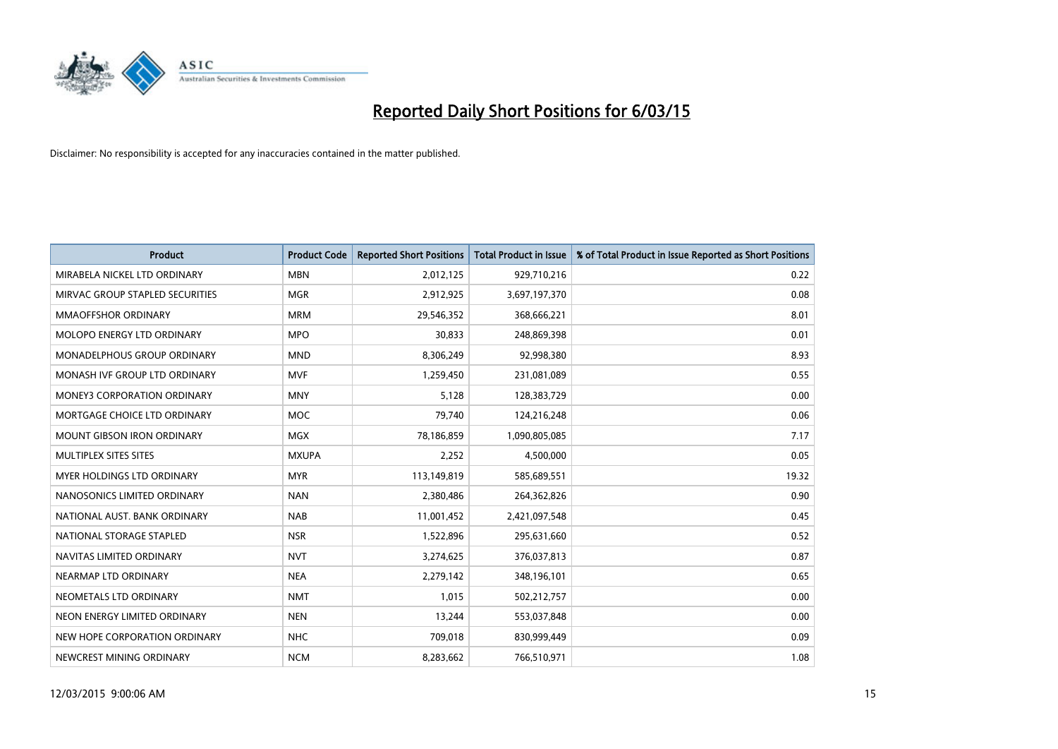

| <b>Product</b>                     | <b>Product Code</b> | <b>Reported Short Positions</b> | <b>Total Product in Issue</b> | % of Total Product in Issue Reported as Short Positions |
|------------------------------------|---------------------|---------------------------------|-------------------------------|---------------------------------------------------------|
| MIRABELA NICKEL LTD ORDINARY       | <b>MBN</b>          | 2,012,125                       | 929,710,216                   | 0.22                                                    |
| MIRVAC GROUP STAPLED SECURITIES    | <b>MGR</b>          | 2,912,925                       | 3,697,197,370                 | 0.08                                                    |
| <b>MMAOFFSHOR ORDINARY</b>         | <b>MRM</b>          | 29,546,352                      | 368,666,221                   | 8.01                                                    |
| MOLOPO ENERGY LTD ORDINARY         | <b>MPO</b>          | 30,833                          | 248,869,398                   | 0.01                                                    |
| MONADELPHOUS GROUP ORDINARY        | <b>MND</b>          | 8,306,249                       | 92,998,380                    | 8.93                                                    |
| MONASH IVF GROUP LTD ORDINARY      | <b>MVF</b>          | 1,259,450                       | 231,081,089                   | 0.55                                                    |
| <b>MONEY3 CORPORATION ORDINARY</b> | <b>MNY</b>          | 5,128                           | 128,383,729                   | 0.00                                                    |
| MORTGAGE CHOICE LTD ORDINARY       | <b>MOC</b>          | 79,740                          | 124,216,248                   | 0.06                                                    |
| <b>MOUNT GIBSON IRON ORDINARY</b>  | <b>MGX</b>          | 78,186,859                      | 1,090,805,085                 | 7.17                                                    |
| MULTIPLEX SITES SITES              | <b>MXUPA</b>        | 2,252                           | 4,500,000                     | 0.05                                                    |
| MYER HOLDINGS LTD ORDINARY         | <b>MYR</b>          | 113,149,819                     | 585,689,551                   | 19.32                                                   |
| NANOSONICS LIMITED ORDINARY        | <b>NAN</b>          | 2,380,486                       | 264,362,826                   | 0.90                                                    |
| NATIONAL AUST, BANK ORDINARY       | <b>NAB</b>          | 11,001,452                      | 2,421,097,548                 | 0.45                                                    |
| NATIONAL STORAGE STAPLED           | <b>NSR</b>          | 1,522,896                       | 295,631,660                   | 0.52                                                    |
| NAVITAS LIMITED ORDINARY           | <b>NVT</b>          | 3,274,625                       | 376,037,813                   | 0.87                                                    |
| NEARMAP LTD ORDINARY               | <b>NEA</b>          | 2,279,142                       | 348,196,101                   | 0.65                                                    |
| NEOMETALS LTD ORDINARY             | <b>NMT</b>          | 1,015                           | 502,212,757                   | 0.00                                                    |
| NEON ENERGY LIMITED ORDINARY       | <b>NEN</b>          | 13,244                          | 553,037,848                   | 0.00                                                    |
| NEW HOPE CORPORATION ORDINARY      | <b>NHC</b>          | 709,018                         | 830,999,449                   | 0.09                                                    |
| NEWCREST MINING ORDINARY           | <b>NCM</b>          | 8,283,662                       | 766,510,971                   | 1.08                                                    |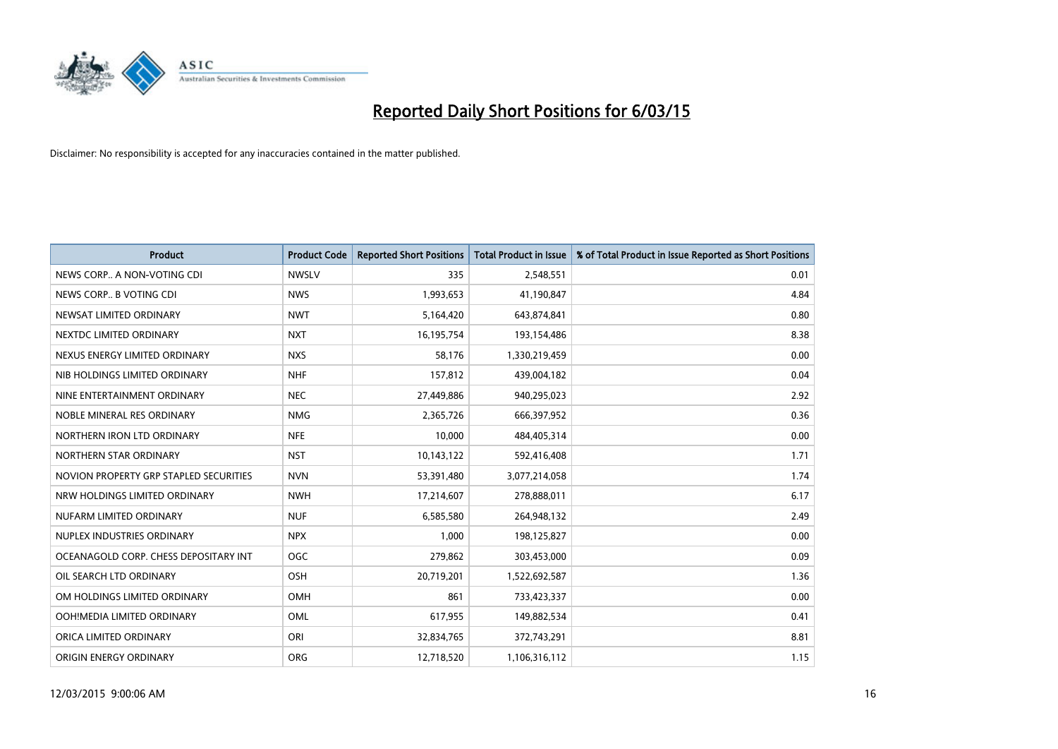

| <b>Product</b>                         | <b>Product Code</b> | <b>Reported Short Positions</b> | <b>Total Product in Issue</b> | % of Total Product in Issue Reported as Short Positions |
|----------------------------------------|---------------------|---------------------------------|-------------------------------|---------------------------------------------------------|
| NEWS CORP A NON-VOTING CDI             | <b>NWSLV</b>        | 335                             | 2,548,551                     | 0.01                                                    |
| NEWS CORP B VOTING CDI                 | <b>NWS</b>          | 1,993,653                       | 41,190,847                    | 4.84                                                    |
| NEWSAT LIMITED ORDINARY                | <b>NWT</b>          | 5,164,420                       | 643,874,841                   | 0.80                                                    |
| NEXTDC LIMITED ORDINARY                | <b>NXT</b>          | 16,195,754                      | 193,154,486                   | 8.38                                                    |
| NEXUS ENERGY LIMITED ORDINARY          | <b>NXS</b>          | 58,176                          | 1,330,219,459                 | 0.00                                                    |
| NIB HOLDINGS LIMITED ORDINARY          | <b>NHF</b>          | 157,812                         | 439,004,182                   | 0.04                                                    |
| NINE ENTERTAINMENT ORDINARY            | <b>NEC</b>          | 27,449,886                      | 940,295,023                   | 2.92                                                    |
| NOBLE MINERAL RES ORDINARY             | <b>NMG</b>          | 2,365,726                       | 666,397,952                   | 0.36                                                    |
| NORTHERN IRON LTD ORDINARY             | <b>NFE</b>          | 10,000                          | 484,405,314                   | 0.00                                                    |
| NORTHERN STAR ORDINARY                 | <b>NST</b>          | 10,143,122                      | 592,416,408                   | 1.71                                                    |
| NOVION PROPERTY GRP STAPLED SECURITIES | <b>NVN</b>          | 53,391,480                      | 3,077,214,058                 | 1.74                                                    |
| NRW HOLDINGS LIMITED ORDINARY          | <b>NWH</b>          | 17,214,607                      | 278,888,011                   | 6.17                                                    |
| NUFARM LIMITED ORDINARY                | <b>NUF</b>          | 6,585,580                       | 264,948,132                   | 2.49                                                    |
| NUPLEX INDUSTRIES ORDINARY             | <b>NPX</b>          | 1,000                           | 198,125,827                   | 0.00                                                    |
| OCEANAGOLD CORP. CHESS DEPOSITARY INT  | <b>OGC</b>          | 279,862                         | 303,453,000                   | 0.09                                                    |
| OIL SEARCH LTD ORDINARY                | OSH                 | 20,719,201                      | 1,522,692,587                 | 1.36                                                    |
| OM HOLDINGS LIMITED ORDINARY           | OMH                 | 861                             | 733,423,337                   | 0.00                                                    |
| OOH!MEDIA LIMITED ORDINARY             | OML                 | 617,955                         | 149,882,534                   | 0.41                                                    |
| ORICA LIMITED ORDINARY                 | ORI                 | 32,834,765                      | 372,743,291                   | 8.81                                                    |
| ORIGIN ENERGY ORDINARY                 | <b>ORG</b>          | 12,718,520                      | 1,106,316,112                 | 1.15                                                    |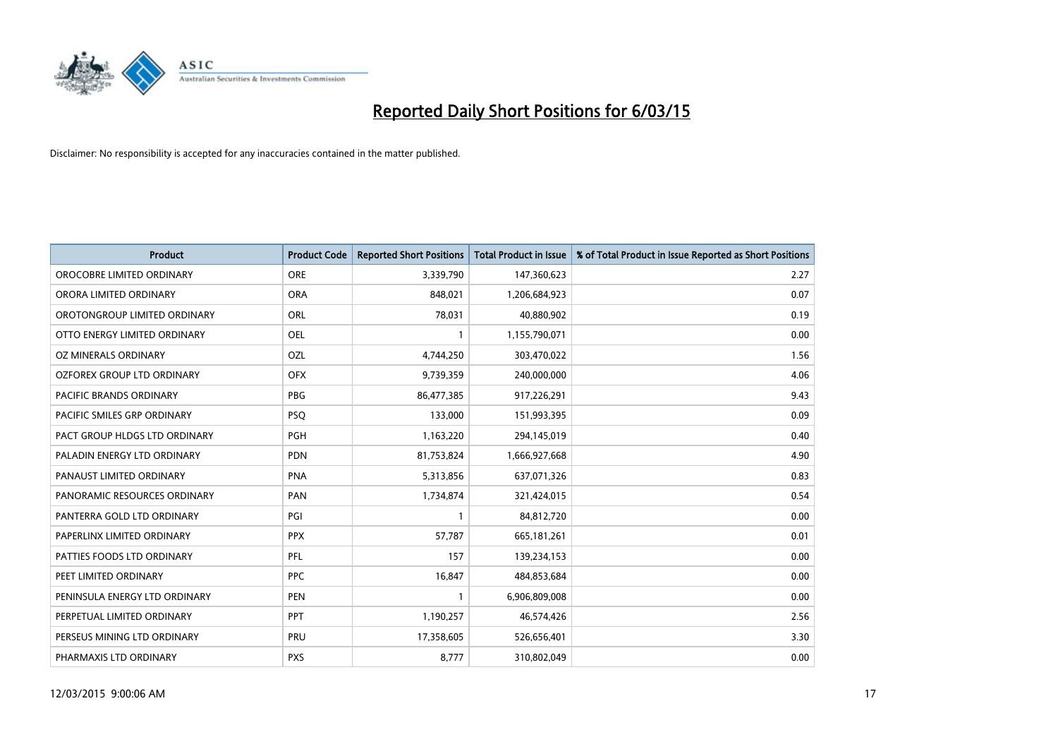

| <b>Product</b>                    | <b>Product Code</b> | <b>Reported Short Positions</b> | <b>Total Product in Issue</b> | % of Total Product in Issue Reported as Short Positions |
|-----------------------------------|---------------------|---------------------------------|-------------------------------|---------------------------------------------------------|
| OROCOBRE LIMITED ORDINARY         | <b>ORE</b>          | 3,339,790                       | 147,360,623                   | 2.27                                                    |
| ORORA LIMITED ORDINARY            | <b>ORA</b>          | 848,021                         | 1,206,684,923                 | 0.07                                                    |
| OROTONGROUP LIMITED ORDINARY      | <b>ORL</b>          | 78,031                          | 40,880,902                    | 0.19                                                    |
| OTTO ENERGY LIMITED ORDINARY      | <b>OEL</b>          | $\mathbf{1}$                    | 1,155,790,071                 | 0.00                                                    |
| OZ MINERALS ORDINARY              | OZL                 | 4,744,250                       | 303,470,022                   | 1.56                                                    |
| <b>OZFOREX GROUP LTD ORDINARY</b> | <b>OFX</b>          | 9,739,359                       | 240,000,000                   | 4.06                                                    |
| PACIFIC BRANDS ORDINARY           | <b>PBG</b>          | 86,477,385                      | 917,226,291                   | 9.43                                                    |
| PACIFIC SMILES GRP ORDINARY       | <b>PSQ</b>          | 133,000                         | 151,993,395                   | 0.09                                                    |
| PACT GROUP HLDGS LTD ORDINARY     | <b>PGH</b>          | 1,163,220                       | 294,145,019                   | 0.40                                                    |
| PALADIN ENERGY LTD ORDINARY       | <b>PDN</b>          | 81,753,824                      | 1,666,927,668                 | 4.90                                                    |
| PANAUST LIMITED ORDINARY          | <b>PNA</b>          | 5,313,856                       | 637,071,326                   | 0.83                                                    |
| PANORAMIC RESOURCES ORDINARY      | PAN                 | 1,734,874                       | 321,424,015                   | 0.54                                                    |
| PANTERRA GOLD LTD ORDINARY        | PGI                 | $\mathbf{1}$                    | 84,812,720                    | 0.00                                                    |
| PAPERLINX LIMITED ORDINARY        | <b>PPX</b>          | 57,787                          | 665, 181, 261                 | 0.01                                                    |
| PATTIES FOODS LTD ORDINARY        | PFL                 | 157                             | 139,234,153                   | 0.00                                                    |
| PEET LIMITED ORDINARY             | <b>PPC</b>          | 16,847                          | 484,853,684                   | 0.00                                                    |
| PENINSULA ENERGY LTD ORDINARY     | PEN                 | 1                               | 6,906,809,008                 | 0.00                                                    |
| PERPETUAL LIMITED ORDINARY        | <b>PPT</b>          | 1,190,257                       | 46,574,426                    | 2.56                                                    |
| PERSEUS MINING LTD ORDINARY       | PRU                 | 17,358,605                      | 526,656,401                   | 3.30                                                    |
| PHARMAXIS LTD ORDINARY            | <b>PXS</b>          | 8,777                           | 310,802,049                   | 0.00                                                    |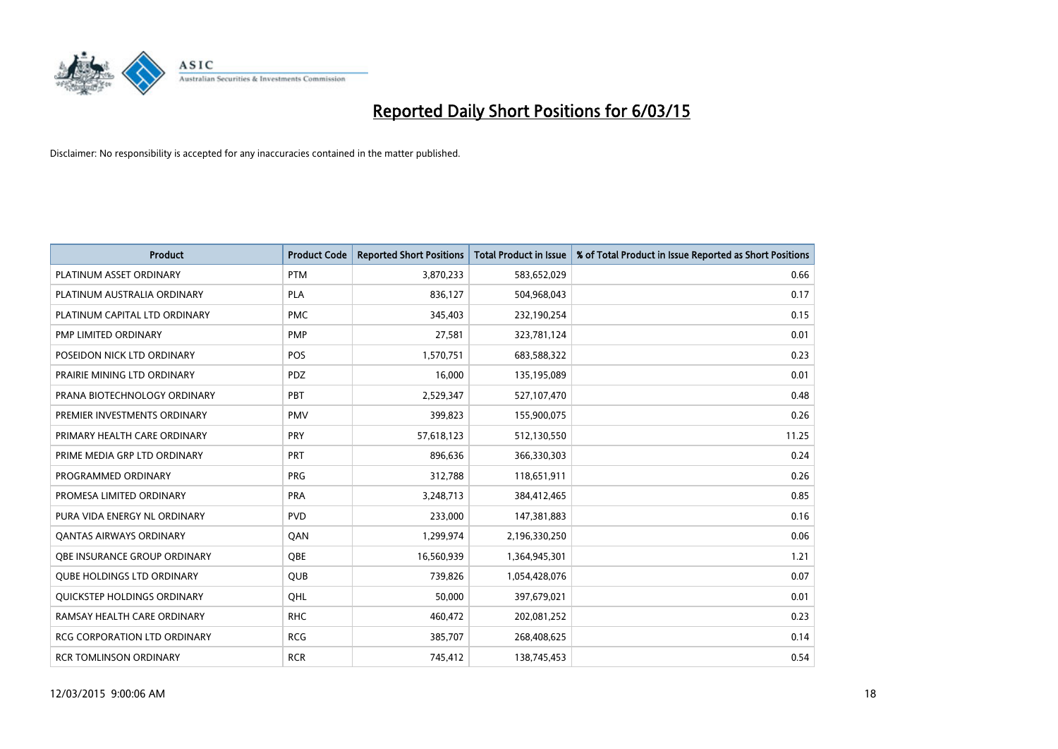

| <b>Product</b>                      | <b>Product Code</b> | <b>Reported Short Positions</b> | <b>Total Product in Issue</b> | % of Total Product in Issue Reported as Short Positions |
|-------------------------------------|---------------------|---------------------------------|-------------------------------|---------------------------------------------------------|
| PLATINUM ASSET ORDINARY             | <b>PTM</b>          | 3,870,233                       | 583,652,029                   | 0.66                                                    |
| PLATINUM AUSTRALIA ORDINARY         | <b>PLA</b>          | 836,127                         | 504,968,043                   | 0.17                                                    |
| PLATINUM CAPITAL LTD ORDINARY       | <b>PMC</b>          | 345,403                         | 232,190,254                   | 0.15                                                    |
| PMP LIMITED ORDINARY                | <b>PMP</b>          | 27,581                          | 323,781,124                   | 0.01                                                    |
| POSEIDON NICK LTD ORDINARY          | <b>POS</b>          | 1,570,751                       | 683,588,322                   | 0.23                                                    |
| PRAIRIE MINING LTD ORDINARY         | <b>PDZ</b>          | 16,000                          | 135,195,089                   | 0.01                                                    |
| PRANA BIOTECHNOLOGY ORDINARY        | <b>PBT</b>          | 2,529,347                       | 527,107,470                   | 0.48                                                    |
| PREMIER INVESTMENTS ORDINARY        | <b>PMV</b>          | 399,823                         | 155,900,075                   | 0.26                                                    |
| PRIMARY HEALTH CARE ORDINARY        | <b>PRY</b>          | 57,618,123                      | 512,130,550                   | 11.25                                                   |
| PRIME MEDIA GRP LTD ORDINARY        | <b>PRT</b>          | 896,636                         | 366,330,303                   | 0.24                                                    |
| PROGRAMMED ORDINARY                 | <b>PRG</b>          | 312,788                         | 118,651,911                   | 0.26                                                    |
| PROMESA LIMITED ORDINARY            | <b>PRA</b>          | 3,248,713                       | 384,412,465                   | 0.85                                                    |
| PURA VIDA ENERGY NL ORDINARY        | <b>PVD</b>          | 233,000                         | 147,381,883                   | 0.16                                                    |
| <b>QANTAS AIRWAYS ORDINARY</b>      | QAN                 | 1,299,974                       | 2,196,330,250                 | 0.06                                                    |
| OBE INSURANCE GROUP ORDINARY        | <b>OBE</b>          | 16,560,939                      | 1,364,945,301                 | 1.21                                                    |
| <b>QUBE HOLDINGS LTD ORDINARY</b>   | QUB                 | 739,826                         | 1,054,428,076                 | 0.07                                                    |
| QUICKSTEP HOLDINGS ORDINARY         | OHL                 | 50,000                          | 397,679,021                   | 0.01                                                    |
| RAMSAY HEALTH CARE ORDINARY         | <b>RHC</b>          | 460,472                         | 202,081,252                   | 0.23                                                    |
| <b>RCG CORPORATION LTD ORDINARY</b> | <b>RCG</b>          | 385,707                         | 268,408,625                   | 0.14                                                    |
| <b>RCR TOMLINSON ORDINARY</b>       | <b>RCR</b>          | 745,412                         | 138,745,453                   | 0.54                                                    |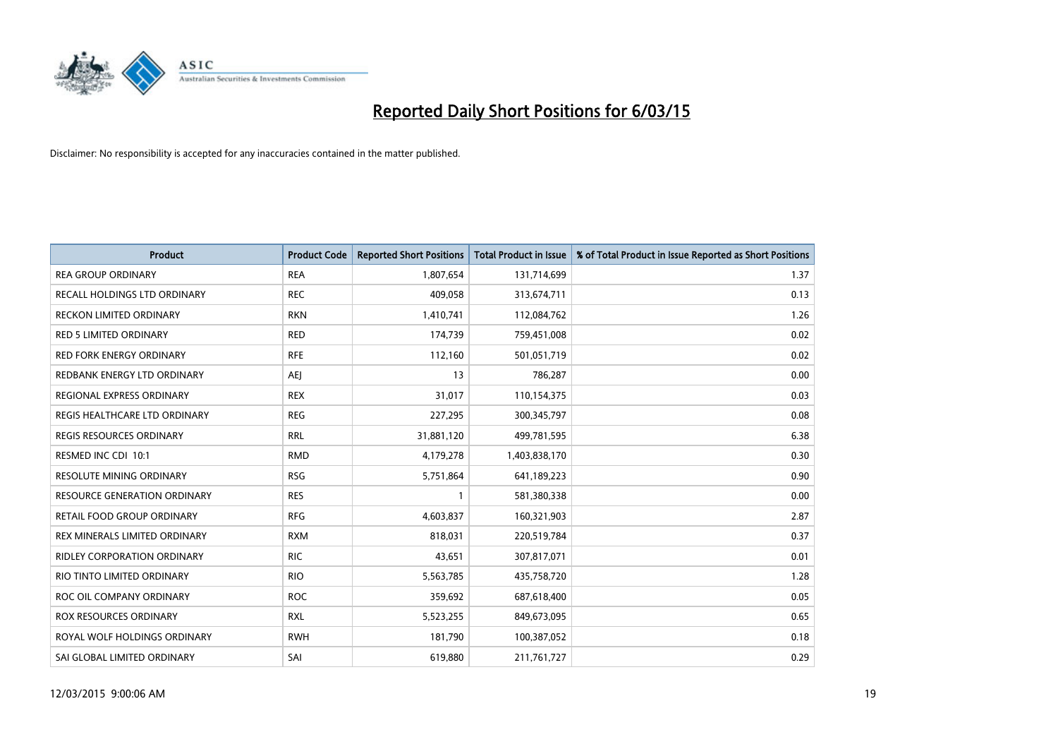

| <b>Product</b>                      | <b>Product Code</b> | <b>Reported Short Positions</b> | <b>Total Product in Issue</b> | % of Total Product in Issue Reported as Short Positions |
|-------------------------------------|---------------------|---------------------------------|-------------------------------|---------------------------------------------------------|
| <b>REA GROUP ORDINARY</b>           | <b>REA</b>          | 1,807,654                       | 131,714,699                   | 1.37                                                    |
| RECALL HOLDINGS LTD ORDINARY        | <b>REC</b>          | 409,058                         | 313,674,711                   | 0.13                                                    |
| <b>RECKON LIMITED ORDINARY</b>      | <b>RKN</b>          | 1,410,741                       | 112,084,762                   | 1.26                                                    |
| <b>RED 5 LIMITED ORDINARY</b>       | <b>RED</b>          | 174,739                         | 759,451,008                   | 0.02                                                    |
| <b>RED FORK ENERGY ORDINARY</b>     | <b>RFE</b>          | 112,160                         | 501,051,719                   | 0.02                                                    |
| REDBANK ENERGY LTD ORDINARY         | <b>AEJ</b>          | 13                              | 786,287                       | 0.00                                                    |
| REGIONAL EXPRESS ORDINARY           | <b>REX</b>          | 31,017                          | 110,154,375                   | 0.03                                                    |
| REGIS HEALTHCARE LTD ORDINARY       | <b>REG</b>          | 227,295                         | 300, 345, 797                 | 0.08                                                    |
| <b>REGIS RESOURCES ORDINARY</b>     | <b>RRL</b>          | 31,881,120                      | 499,781,595                   | 6.38                                                    |
| RESMED INC CDI 10:1                 | <b>RMD</b>          | 4,179,278                       | 1,403,838,170                 | 0.30                                                    |
| RESOLUTE MINING ORDINARY            | <b>RSG</b>          | 5,751,864                       | 641,189,223                   | 0.90                                                    |
| <b>RESOURCE GENERATION ORDINARY</b> | <b>RES</b>          | $\mathbf{1}$                    | 581,380,338                   | 0.00                                                    |
| RETAIL FOOD GROUP ORDINARY          | <b>RFG</b>          | 4,603,837                       | 160,321,903                   | 2.87                                                    |
| REX MINERALS LIMITED ORDINARY       | <b>RXM</b>          | 818,031                         | 220,519,784                   | 0.37                                                    |
| <b>RIDLEY CORPORATION ORDINARY</b>  | <b>RIC</b>          | 43,651                          | 307,817,071                   | 0.01                                                    |
| RIO TINTO LIMITED ORDINARY          | <b>RIO</b>          | 5,563,785                       | 435,758,720                   | 1.28                                                    |
| ROC OIL COMPANY ORDINARY            | <b>ROC</b>          | 359,692                         | 687,618,400                   | 0.05                                                    |
| ROX RESOURCES ORDINARY              | <b>RXL</b>          | 5,523,255                       | 849,673,095                   | 0.65                                                    |
| ROYAL WOLF HOLDINGS ORDINARY        | <b>RWH</b>          | 181,790                         | 100,387,052                   | 0.18                                                    |
| SAI GLOBAL LIMITED ORDINARY         | SAI                 | 619,880                         | 211,761,727                   | 0.29                                                    |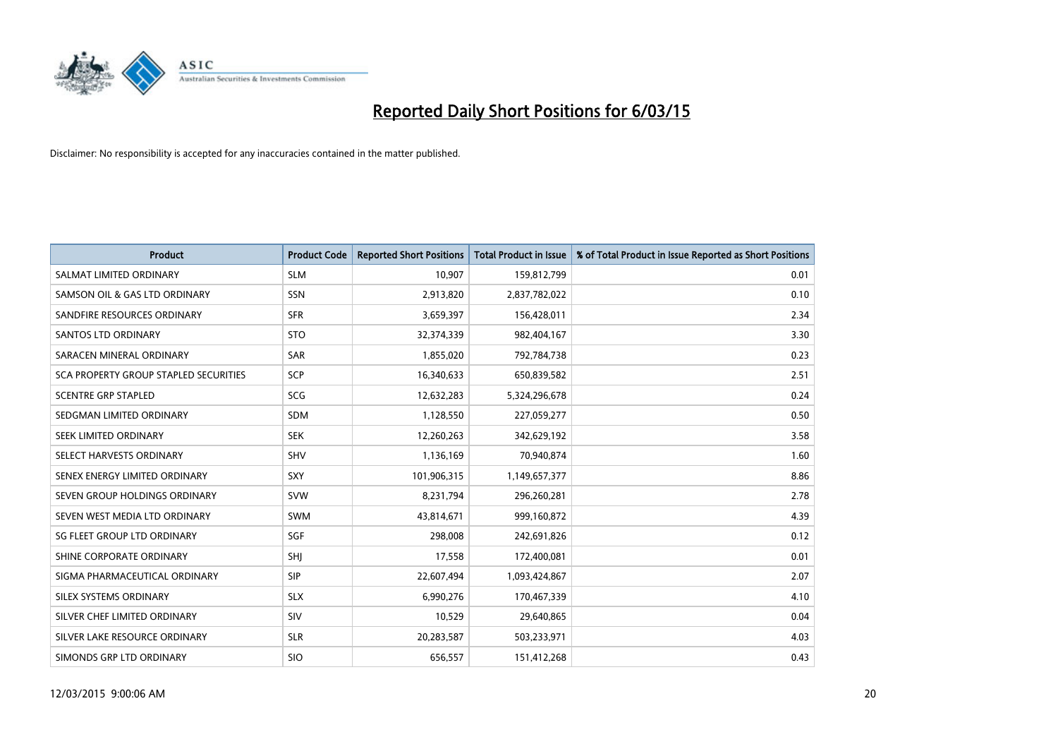

| <b>Product</b>                        | <b>Product Code</b> | <b>Reported Short Positions</b> | <b>Total Product in Issue</b> | % of Total Product in Issue Reported as Short Positions |
|---------------------------------------|---------------------|---------------------------------|-------------------------------|---------------------------------------------------------|
| SALMAT LIMITED ORDINARY               | <b>SLM</b>          | 10,907                          | 159,812,799                   | 0.01                                                    |
| SAMSON OIL & GAS LTD ORDINARY         | SSN                 | 2,913,820                       | 2,837,782,022                 | 0.10                                                    |
| SANDFIRE RESOURCES ORDINARY           | <b>SFR</b>          | 3,659,397                       | 156,428,011                   | 2.34                                                    |
| SANTOS LTD ORDINARY                   | <b>STO</b>          | 32,374,339                      | 982,404,167                   | 3.30                                                    |
| SARACEN MINERAL ORDINARY              | <b>SAR</b>          | 1,855,020                       | 792,784,738                   | 0.23                                                    |
| SCA PROPERTY GROUP STAPLED SECURITIES | <b>SCP</b>          | 16,340,633                      | 650,839,582                   | 2.51                                                    |
| <b>SCENTRE GRP STAPLED</b>            | <b>SCG</b>          | 12,632,283                      | 5,324,296,678                 | 0.24                                                    |
| SEDGMAN LIMITED ORDINARY              | SDM                 | 1,128,550                       | 227,059,277                   | 0.50                                                    |
| SEEK LIMITED ORDINARY                 | <b>SEK</b>          | 12,260,263                      | 342,629,192                   | 3.58                                                    |
| SELECT HARVESTS ORDINARY              | <b>SHV</b>          | 1,136,169                       | 70,940,874                    | 1.60                                                    |
| SENEX ENERGY LIMITED ORDINARY         | <b>SXY</b>          | 101,906,315                     | 1,149,657,377                 | 8.86                                                    |
| SEVEN GROUP HOLDINGS ORDINARY         | <b>SVW</b>          | 8,231,794                       | 296,260,281                   | 2.78                                                    |
| SEVEN WEST MEDIA LTD ORDINARY         | <b>SWM</b>          | 43,814,671                      | 999,160,872                   | 4.39                                                    |
| SG FLEET GROUP LTD ORDINARY           | SGF                 | 298,008                         | 242,691,826                   | 0.12                                                    |
| SHINE CORPORATE ORDINARY              | SHJ                 | 17,558                          | 172,400,081                   | 0.01                                                    |
| SIGMA PHARMACEUTICAL ORDINARY         | <b>SIP</b>          | 22,607,494                      | 1,093,424,867                 | 2.07                                                    |
| SILEX SYSTEMS ORDINARY                | <b>SLX</b>          | 6,990,276                       | 170,467,339                   | 4.10                                                    |
| SILVER CHEF LIMITED ORDINARY          | SIV                 | 10,529                          | 29,640,865                    | 0.04                                                    |
| SILVER LAKE RESOURCE ORDINARY         | <b>SLR</b>          | 20,283,587                      | 503,233,971                   | 4.03                                                    |
| SIMONDS GRP LTD ORDINARY              | <b>SIO</b>          | 656,557                         | 151,412,268                   | 0.43                                                    |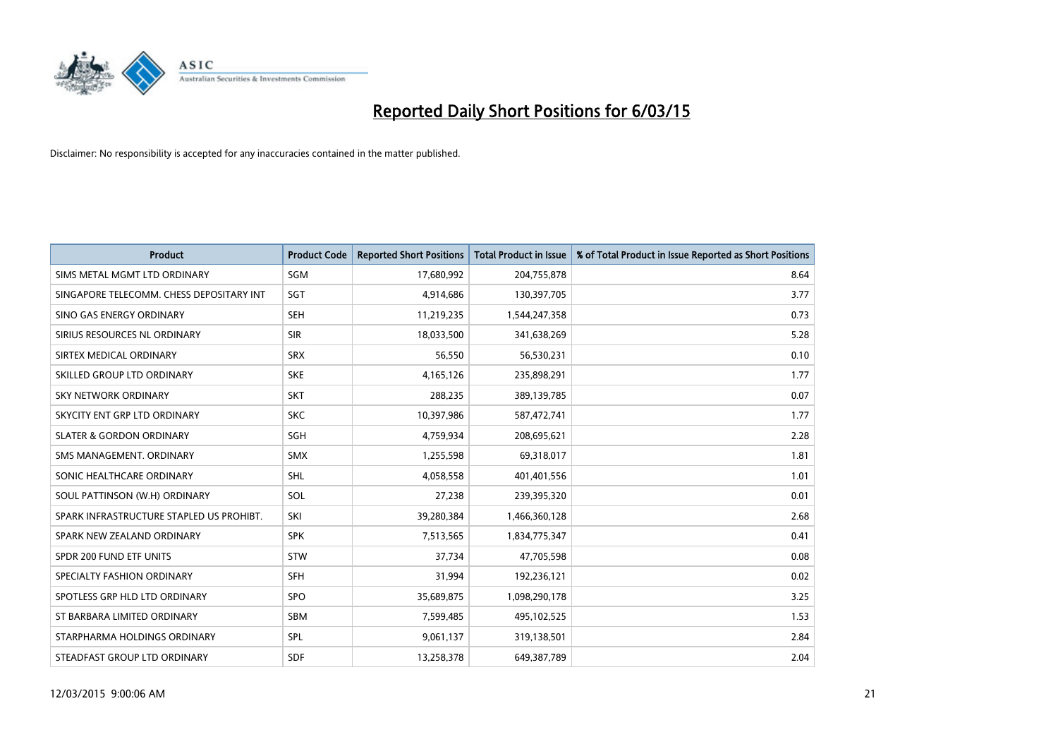

| <b>Product</b>                           | <b>Product Code</b> | <b>Reported Short Positions</b> | <b>Total Product in Issue</b> | % of Total Product in Issue Reported as Short Positions |
|------------------------------------------|---------------------|---------------------------------|-------------------------------|---------------------------------------------------------|
| SIMS METAL MGMT LTD ORDINARY             | SGM                 | 17,680,992                      | 204,755,878                   | 8.64                                                    |
| SINGAPORE TELECOMM. CHESS DEPOSITARY INT | <b>SGT</b>          | 4,914,686                       | 130,397,705                   | 3.77                                                    |
| SINO GAS ENERGY ORDINARY                 | <b>SEH</b>          | 11,219,235                      | 1,544,247,358                 | 0.73                                                    |
| SIRIUS RESOURCES NL ORDINARY             | <b>SIR</b>          | 18,033,500                      | 341,638,269                   | 5.28                                                    |
| SIRTEX MEDICAL ORDINARY                  | <b>SRX</b>          | 56,550                          | 56,530,231                    | 0.10                                                    |
| SKILLED GROUP LTD ORDINARY               | <b>SKE</b>          | 4,165,126                       | 235,898,291                   | 1.77                                                    |
| SKY NETWORK ORDINARY                     | <b>SKT</b>          | 288,235                         | 389,139,785                   | 0.07                                                    |
| SKYCITY ENT GRP LTD ORDINARY             | <b>SKC</b>          | 10,397,986                      | 587,472,741                   | 1.77                                                    |
| <b>SLATER &amp; GORDON ORDINARY</b>      | SGH                 | 4,759,934                       | 208,695,621                   | 2.28                                                    |
| SMS MANAGEMENT, ORDINARY                 | <b>SMX</b>          | 1,255,598                       | 69,318,017                    | 1.81                                                    |
| SONIC HEALTHCARE ORDINARY                | <b>SHL</b>          | 4,058,558                       | 401,401,556                   | 1.01                                                    |
| SOUL PATTINSON (W.H) ORDINARY            | SOL                 | 27,238                          | 239,395,320                   | 0.01                                                    |
| SPARK INFRASTRUCTURE STAPLED US PROHIBT. | SKI                 | 39,280,384                      | 1,466,360,128                 | 2.68                                                    |
| SPARK NEW ZEALAND ORDINARY               | <b>SPK</b>          | 7,513,565                       | 1,834,775,347                 | 0.41                                                    |
| SPDR 200 FUND ETF UNITS                  | STW                 | 37,734                          | 47,705,598                    | 0.08                                                    |
| SPECIALTY FASHION ORDINARY               | <b>SFH</b>          | 31,994                          | 192,236,121                   | 0.02                                                    |
| SPOTLESS GRP HLD LTD ORDINARY            | <b>SPO</b>          | 35,689,875                      | 1,098,290,178                 | 3.25                                                    |
| ST BARBARA LIMITED ORDINARY              | <b>SBM</b>          | 7,599,485                       | 495,102,525                   | 1.53                                                    |
| STARPHARMA HOLDINGS ORDINARY             | SPL                 | 9,061,137                       | 319,138,501                   | 2.84                                                    |
| STEADFAST GROUP LTD ORDINARY             | <b>SDF</b>          | 13,258,378                      | 649,387,789                   | 2.04                                                    |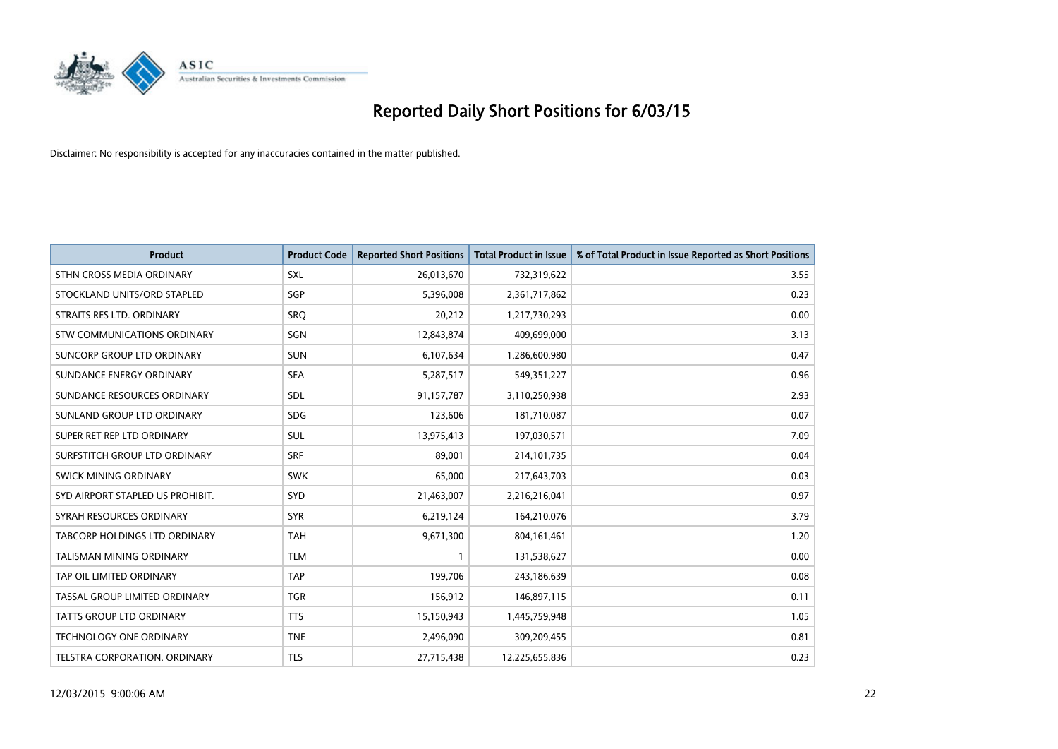

| <b>Product</b>                   | <b>Product Code</b> | <b>Reported Short Positions</b> | <b>Total Product in Issue</b> | % of Total Product in Issue Reported as Short Positions |
|----------------------------------|---------------------|---------------------------------|-------------------------------|---------------------------------------------------------|
| STHN CROSS MEDIA ORDINARY        | <b>SXL</b>          | 26,013,670                      | 732,319,622                   | 3.55                                                    |
| STOCKLAND UNITS/ORD STAPLED      | SGP                 | 5,396,008                       | 2,361,717,862                 | 0.23                                                    |
| STRAITS RES LTD. ORDINARY        | SRQ                 | 20,212                          | 1,217,730,293                 | 0.00                                                    |
| STW COMMUNICATIONS ORDINARY      | SGN                 | 12,843,874                      | 409,699,000                   | 3.13                                                    |
| SUNCORP GROUP LTD ORDINARY       | <b>SUN</b>          | 6,107,634                       | 1,286,600,980                 | 0.47                                                    |
| SUNDANCE ENERGY ORDINARY         | <b>SEA</b>          | 5,287,517                       | 549,351,227                   | 0.96                                                    |
| SUNDANCE RESOURCES ORDINARY      | <b>SDL</b>          | 91,157,787                      | 3,110,250,938                 | 2.93                                                    |
| SUNLAND GROUP LTD ORDINARY       | <b>SDG</b>          | 123,606                         | 181,710,087                   | 0.07                                                    |
| SUPER RET REP LTD ORDINARY       | SUL                 | 13,975,413                      | 197,030,571                   | 7.09                                                    |
| SURFSTITCH GROUP LTD ORDINARY    | <b>SRF</b>          | 89,001                          | 214,101,735                   | 0.04                                                    |
| SWICK MINING ORDINARY            | <b>SWK</b>          | 65,000                          | 217,643,703                   | 0.03                                                    |
| SYD AIRPORT STAPLED US PROHIBIT. | <b>SYD</b>          | 21,463,007                      | 2,216,216,041                 | 0.97                                                    |
| SYRAH RESOURCES ORDINARY         | <b>SYR</b>          | 6,219,124                       | 164,210,076                   | 3.79                                                    |
| TABCORP HOLDINGS LTD ORDINARY    | <b>TAH</b>          | 9,671,300                       | 804, 161, 461                 | 1.20                                                    |
| TALISMAN MINING ORDINARY         | <b>TLM</b>          | $\mathbf{1}$                    | 131,538,627                   | 0.00                                                    |
| TAP OIL LIMITED ORDINARY         | <b>TAP</b>          | 199,706                         | 243,186,639                   | 0.08                                                    |
| TASSAL GROUP LIMITED ORDINARY    | <b>TGR</b>          | 156,912                         | 146,897,115                   | 0.11                                                    |
| TATTS GROUP LTD ORDINARY         | <b>TTS</b>          | 15,150,943                      | 1,445,759,948                 | 1.05                                                    |
| <b>TECHNOLOGY ONE ORDINARY</b>   | <b>TNE</b>          | 2,496,090                       | 309,209,455                   | 0.81                                                    |
| TELSTRA CORPORATION, ORDINARY    | <b>TLS</b>          | 27,715,438                      | 12,225,655,836                | 0.23                                                    |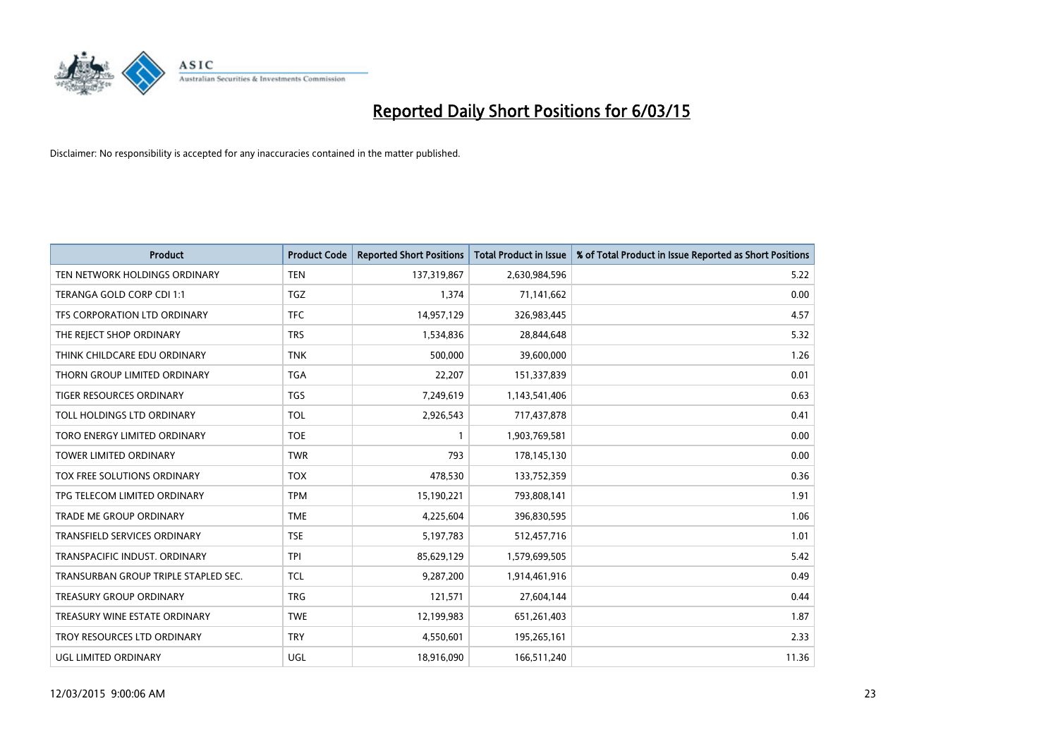

| <b>Product</b>                       | <b>Product Code</b> | <b>Reported Short Positions</b> | <b>Total Product in Issue</b> | % of Total Product in Issue Reported as Short Positions |
|--------------------------------------|---------------------|---------------------------------|-------------------------------|---------------------------------------------------------|
| TEN NETWORK HOLDINGS ORDINARY        | <b>TEN</b>          | 137,319,867                     | 2,630,984,596                 | 5.22                                                    |
| TERANGA GOLD CORP CDI 1:1            | <b>TGZ</b>          | 1,374                           | 71,141,662                    | 0.00                                                    |
| TFS CORPORATION LTD ORDINARY         | <b>TFC</b>          | 14,957,129                      | 326,983,445                   | 4.57                                                    |
| THE REJECT SHOP ORDINARY             | <b>TRS</b>          | 1,534,836                       | 28,844,648                    | 5.32                                                    |
| THINK CHILDCARE EDU ORDINARY         | <b>TNK</b>          | 500,000                         | 39,600,000                    | 1.26                                                    |
| THORN GROUP LIMITED ORDINARY         | <b>TGA</b>          | 22,207                          | 151,337,839                   | 0.01                                                    |
| TIGER RESOURCES ORDINARY             | <b>TGS</b>          | 7,249,619                       | 1,143,541,406                 | 0.63                                                    |
| TOLL HOLDINGS LTD ORDINARY           | <b>TOL</b>          | 2,926,543                       | 717,437,878                   | 0.41                                                    |
| TORO ENERGY LIMITED ORDINARY         | <b>TOE</b>          | 1                               | 1,903,769,581                 | 0.00                                                    |
| <b>TOWER LIMITED ORDINARY</b>        | <b>TWR</b>          | 793                             | 178,145,130                   | 0.00                                                    |
| TOX FREE SOLUTIONS ORDINARY          | <b>TOX</b>          | 478,530                         | 133,752,359                   | 0.36                                                    |
| TPG TELECOM LIMITED ORDINARY         | <b>TPM</b>          | 15,190,221                      | 793,808,141                   | 1.91                                                    |
| <b>TRADE ME GROUP ORDINARY</b>       | <b>TME</b>          | 4,225,604                       | 396,830,595                   | 1.06                                                    |
| <b>TRANSFIELD SERVICES ORDINARY</b>  | <b>TSE</b>          | 5,197,783                       | 512,457,716                   | 1.01                                                    |
| TRANSPACIFIC INDUST, ORDINARY        | <b>TPI</b>          | 85,629,129                      | 1,579,699,505                 | 5.42                                                    |
| TRANSURBAN GROUP TRIPLE STAPLED SEC. | <b>TCL</b>          | 9,287,200                       | 1,914,461,916                 | 0.49                                                    |
| TREASURY GROUP ORDINARY              | <b>TRG</b>          | 121,571                         | 27,604,144                    | 0.44                                                    |
| TREASURY WINE ESTATE ORDINARY        | <b>TWE</b>          | 12,199,983                      | 651,261,403                   | 1.87                                                    |
| TROY RESOURCES LTD ORDINARY          | <b>TRY</b>          | 4,550,601                       | 195,265,161                   | 2.33                                                    |
| <b>UGL LIMITED ORDINARY</b>          | UGL                 | 18,916,090                      | 166,511,240                   | 11.36                                                   |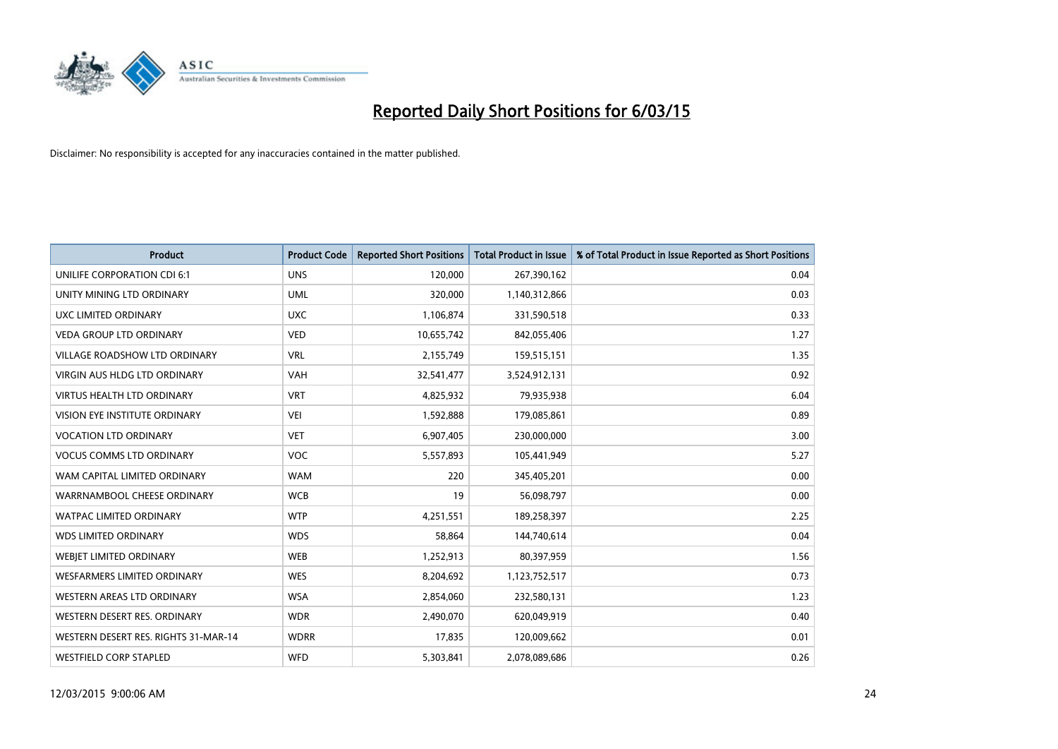

| <b>Product</b>                       | <b>Product Code</b> | <b>Reported Short Positions</b> | <b>Total Product in Issue</b> | % of Total Product in Issue Reported as Short Positions |
|--------------------------------------|---------------------|---------------------------------|-------------------------------|---------------------------------------------------------|
| UNILIFE CORPORATION CDI 6:1          | <b>UNS</b>          | 120,000                         | 267,390,162                   | 0.04                                                    |
| UNITY MINING LTD ORDINARY            | <b>UML</b>          | 320,000                         | 1,140,312,866                 | 0.03                                                    |
| UXC LIMITED ORDINARY                 | <b>UXC</b>          | 1,106,874                       | 331,590,518                   | 0.33                                                    |
| <b>VEDA GROUP LTD ORDINARY</b>       | <b>VED</b>          | 10,655,742                      | 842,055,406                   | 1.27                                                    |
| <b>VILLAGE ROADSHOW LTD ORDINARY</b> | <b>VRL</b>          | 2,155,749                       | 159,515,151                   | 1.35                                                    |
| <b>VIRGIN AUS HLDG LTD ORDINARY</b>  | <b>VAH</b>          | 32,541,477                      | 3,524,912,131                 | 0.92                                                    |
| <b>VIRTUS HEALTH LTD ORDINARY</b>    | <b>VRT</b>          | 4,825,932                       | 79,935,938                    | 6.04                                                    |
| <b>VISION EYE INSTITUTE ORDINARY</b> | <b>VEI</b>          | 1,592,888                       | 179,085,861                   | 0.89                                                    |
| VOCATION LTD ORDINARY                | <b>VET</b>          | 6,907,405                       | 230,000,000                   | 3.00                                                    |
| <b>VOCUS COMMS LTD ORDINARY</b>      | <b>VOC</b>          | 5,557,893                       | 105,441,949                   | 5.27                                                    |
| WAM CAPITAL LIMITED ORDINARY         | <b>WAM</b>          | 220                             | 345,405,201                   | 0.00                                                    |
| WARRNAMBOOL CHEESE ORDINARY          | <b>WCB</b>          | 19                              | 56,098,797                    | 0.00                                                    |
| <b>WATPAC LIMITED ORDINARY</b>       | <b>WTP</b>          | 4,251,551                       | 189,258,397                   | 2.25                                                    |
| <b>WDS LIMITED ORDINARY</b>          | <b>WDS</b>          | 58,864                          | 144,740,614                   | 0.04                                                    |
| WEBIET LIMITED ORDINARY              | <b>WEB</b>          | 1,252,913                       | 80,397,959                    | 1.56                                                    |
| <b>WESFARMERS LIMITED ORDINARY</b>   | <b>WES</b>          | 8,204,692                       | 1,123,752,517                 | 0.73                                                    |
| <b>WESTERN AREAS LTD ORDINARY</b>    | <b>WSA</b>          | 2,854,060                       | 232,580,131                   | 1.23                                                    |
| WESTERN DESERT RES. ORDINARY         | <b>WDR</b>          | 2,490,070                       | 620,049,919                   | 0.40                                                    |
| WESTERN DESERT RES. RIGHTS 31-MAR-14 | <b>WDRR</b>         | 17,835                          | 120,009,662                   | 0.01                                                    |
| <b>WESTFIELD CORP STAPLED</b>        | <b>WFD</b>          | 5,303,841                       | 2,078,089,686                 | 0.26                                                    |